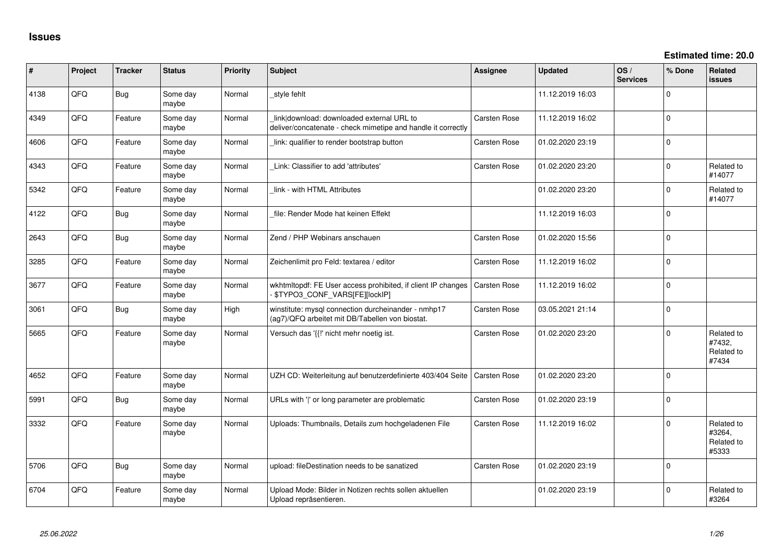| $\vert$ # | Project | <b>Tracker</b> | <b>Status</b>     | <b>Priority</b> | <b>Subject</b>                                                                                            | Assignee            | <b>Updated</b>   | OS/<br><b>Services</b> | % Done      | <b>Related</b><br><b>issues</b>             |
|-----------|---------|----------------|-------------------|-----------------|-----------------------------------------------------------------------------------------------------------|---------------------|------------------|------------------------|-------------|---------------------------------------------|
| 4138      | QFQ     | <b>Bug</b>     | Some day<br>maybe | Normal          | style fehlt                                                                                               |                     | 11.12.2019 16:03 |                        | $\Omega$    |                                             |
| 4349      | QFQ     | Feature        | Some day<br>maybe | Normal          | link download: downloaded external URL to<br>deliver/concatenate - check mimetipe and handle it correctly | Carsten Rose        | 11.12.2019 16:02 |                        | $\mathsf 0$ |                                             |
| 4606      | QFQ     | Feature        | Some day<br>maybe | Normal          | link: qualifier to render bootstrap button                                                                | Carsten Rose        | 01.02.2020 23:19 |                        | $\pmb{0}$   |                                             |
| 4343      | QFQ     | Feature        | Some day<br>maybe | Normal          | Link: Classifier to add 'attributes'                                                                      | <b>Carsten Rose</b> | 01.02.2020 23:20 |                        | $\mathbf 0$ | Related to<br>#14077                        |
| 5342      | QFQ     | Feature        | Some day<br>maybe | Normal          | link - with HTML Attributes                                                                               |                     | 01.02.2020 23:20 |                        | $\mathbf 0$ | Related to<br>#14077                        |
| 4122      | QFQ     | Bug            | Some day<br>maybe | Normal          | file: Render Mode hat keinen Effekt                                                                       |                     | 11.12.2019 16:03 |                        | $\mathbf 0$ |                                             |
| 2643      | QFQ     | Bug            | Some day<br>maybe | Normal          | Zend / PHP Webinars anschauen                                                                             | <b>Carsten Rose</b> | 01.02.2020 15:56 |                        | $\pmb{0}$   |                                             |
| 3285      | QFQ     | Feature        | Some day<br>maybe | Normal          | Zeichenlimit pro Feld: textarea / editor                                                                  | <b>Carsten Rose</b> | 11.12.2019 16:02 |                        | $\pmb{0}$   |                                             |
| 3677      | QFQ     | Feature        | Some day<br>maybe | Normal          | wkhtmltopdf: FE User access prohibited, if client IP changes<br>\$TYPO3_CONF_VARS[FE][lockIP]             | Carsten Rose        | 11.12.2019 16:02 |                        | $\mathbf 0$ |                                             |
| 3061      | QFQ     | Bug            | Some day<br>maybe | High            | winstitute: mysql connection durcheinander - nmhp17<br>(ag7)/QFQ arbeitet mit DB/Tabellen von biostat.    | <b>Carsten Rose</b> | 03.05.2021 21:14 |                        | $\mathsf 0$ |                                             |
| 5665      | QFQ     | Feature        | Some day<br>maybe | Normal          | Versuch das '{{!' nicht mehr noetig ist.                                                                  | <b>Carsten Rose</b> | 01.02.2020 23:20 |                        | $\mathbf 0$ | Related to<br>#7432,<br>Related to<br>#7434 |
| 4652      | QFQ     | Feature        | Some day<br>maybe | Normal          | UZH CD: Weiterleitung auf benutzerdefinierte 403/404 Seite                                                | <b>Carsten Rose</b> | 01.02.2020 23:20 |                        | $\mathbf 0$ |                                             |
| 5991      | QFQ     | Bug            | Some day<br>maybe | Normal          | URLs with ' ' or long parameter are problematic                                                           | <b>Carsten Rose</b> | 01.02.2020 23:19 |                        | $\mathbf 0$ |                                             |
| 3332      | QFQ     | Feature        | Some day<br>maybe | Normal          | Uploads: Thumbnails, Details zum hochgeladenen File                                                       | Carsten Rose        | 11.12.2019 16:02 |                        | $\mathbf 0$ | Related to<br>#3264,<br>Related to<br>#5333 |
| 5706      | QFQ     | <b>Bug</b>     | Some day<br>maybe | Normal          | upload: fileDestination needs to be sanatized                                                             | Carsten Rose        | 01.02.2020 23:19 |                        | $\mathbf 0$ |                                             |
| 6704      | QFQ     | Feature        | Some day<br>maybe | Normal          | Upload Mode: Bilder in Notizen rechts sollen aktuellen<br>Upload repräsentieren.                          |                     | 01.02.2020 23:19 |                        | $\Omega$    | Related to<br>#3264                         |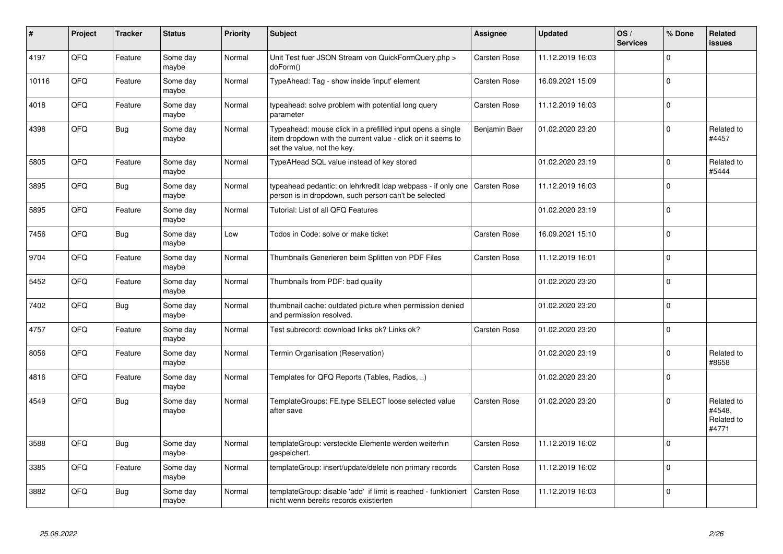| #     | Project | <b>Tracker</b> | <b>Status</b>     | <b>Priority</b> | <b>Subject</b>                                                                                                                                           | Assignee            | <b>Updated</b>   | OS/<br><b>Services</b> | % Done      | <b>Related</b><br><b>issues</b>             |
|-------|---------|----------------|-------------------|-----------------|----------------------------------------------------------------------------------------------------------------------------------------------------------|---------------------|------------------|------------------------|-------------|---------------------------------------------|
| 4197  | QFQ     | Feature        | Some day<br>maybe | Normal          | Unit Test fuer JSON Stream von QuickFormQuery.php ><br>doForm()                                                                                          | <b>Carsten Rose</b> | 11.12.2019 16:03 |                        | $\mathbf 0$ |                                             |
| 10116 | QFQ     | Feature        | Some day<br>maybe | Normal          | TypeAhead: Tag - show inside 'input' element                                                                                                             | Carsten Rose        | 16.09.2021 15:09 |                        | $\mathbf 0$ |                                             |
| 4018  | QFQ     | Feature        | Some day<br>maybe | Normal          | typeahead: solve problem with potential long query<br>parameter                                                                                          | Carsten Rose        | 11.12.2019 16:03 |                        | $\mathbf 0$ |                                             |
| 4398  | QFQ     | <b>Bug</b>     | Some day<br>maybe | Normal          | Typeahead: mouse click in a prefilled input opens a single<br>item dropdown with the current value - click on it seems to<br>set the value, not the key. | Benjamin Baer       | 01.02.2020 23:20 |                        | $\Omega$    | Related to<br>#4457                         |
| 5805  | QFQ     | Feature        | Some day<br>maybe | Normal          | TypeAHead SQL value instead of key stored                                                                                                                |                     | 01.02.2020 23:19 |                        | $\Omega$    | Related to<br>#5444                         |
| 3895  | QFQ     | <b>Bug</b>     | Some day<br>maybe | Normal          | typeahead pedantic: on lehrkredit Idap webpass - if only one<br>person is in dropdown, such person can't be selected                                     | Carsten Rose        | 11.12.2019 16:03 |                        | $\Omega$    |                                             |
| 5895  | QFQ     | Feature        | Some day<br>maybe | Normal          | Tutorial: List of all QFQ Features                                                                                                                       |                     | 01.02.2020 23:19 |                        | $\Omega$    |                                             |
| 7456  | QFQ     | <b>Bug</b>     | Some day<br>maybe | Low             | Todos in Code: solve or make ticket                                                                                                                      | Carsten Rose        | 16.09.2021 15:10 |                        | $\mathbf 0$ |                                             |
| 9704  | QFQ     | Feature        | Some day<br>maybe | Normal          | Thumbnails Generieren beim Splitten von PDF Files                                                                                                        | Carsten Rose        | 11.12.2019 16:01 |                        | $\mathbf 0$ |                                             |
| 5452  | QFQ     | Feature        | Some day<br>maybe | Normal          | Thumbnails from PDF: bad quality                                                                                                                         |                     | 01.02.2020 23:20 |                        | $\pmb{0}$   |                                             |
| 7402  | QFQ     | <b>Bug</b>     | Some day<br>maybe | Normal          | thumbnail cache: outdated picture when permission denied<br>and permission resolved.                                                                     |                     | 01.02.2020 23:20 |                        | $\mathbf 0$ |                                             |
| 4757  | QFQ     | Feature        | Some day<br>maybe | Normal          | Test subrecord: download links ok? Links ok?                                                                                                             | Carsten Rose        | 01.02.2020 23:20 |                        | $\Omega$    |                                             |
| 8056  | QFQ     | Feature        | Some day<br>maybe | Normal          | Termin Organisation (Reservation)                                                                                                                        |                     | 01.02.2020 23:19 |                        | $\Omega$    | Related to<br>#8658                         |
| 4816  | QFQ     | Feature        | Some day<br>maybe | Normal          | Templates for QFQ Reports (Tables, Radios, )                                                                                                             |                     | 01.02.2020 23:20 |                        | $\Omega$    |                                             |
| 4549  | QFQ     | <b>Bug</b>     | Some day<br>maybe | Normal          | TemplateGroups: FE.type SELECT loose selected value<br>after save                                                                                        | Carsten Rose        | 01.02.2020 23:20 |                        | $\mathbf 0$ | Related to<br>#4548.<br>Related to<br>#4771 |
| 3588  | QFQ     | <b>Bug</b>     | Some day<br>maybe | Normal          | templateGroup: versteckte Elemente werden weiterhin<br>gespeichert.                                                                                      | Carsten Rose        | 11.12.2019 16:02 |                        | $\mathbf 0$ |                                             |
| 3385  | QFQ     | Feature        | Some day<br>maybe | Normal          | templateGroup: insert/update/delete non primary records                                                                                                  | Carsten Rose        | 11.12.2019 16:02 |                        | $\mathsf 0$ |                                             |
| 3882  | QFQ     | <b>Bug</b>     | Some day<br>maybe | Normal          | templateGroup: disable 'add' if limit is reached - funktioniert<br>nicht wenn bereits records existierten                                                | Carsten Rose        | 11.12.2019 16:03 |                        | $\mathbf 0$ |                                             |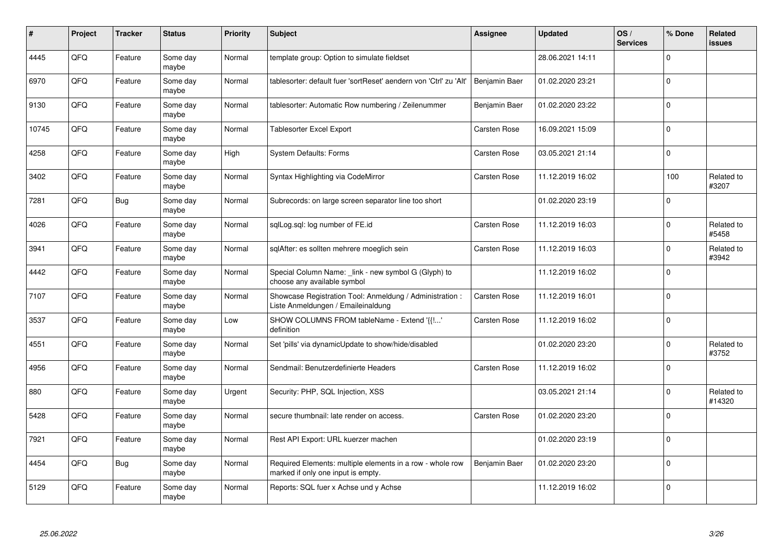| $\pmb{\#}$ | Project | <b>Tracker</b> | <b>Status</b>     | <b>Priority</b> | <b>Subject</b>                                                                                  | <b>Assignee</b> | <b>Updated</b>   | OS/<br><b>Services</b> | % Done      | Related<br><b>issues</b> |
|------------|---------|----------------|-------------------|-----------------|-------------------------------------------------------------------------------------------------|-----------------|------------------|------------------------|-------------|--------------------------|
| 4445       | QFQ     | Feature        | Some day<br>maybe | Normal          | template group: Option to simulate fieldset                                                     |                 | 28.06.2021 14:11 |                        | $\Omega$    |                          |
| 6970       | QFQ     | Feature        | Some day<br>maybe | Normal          | tablesorter: default fuer 'sortReset' aendern von 'Ctrl' zu 'Alt'                               | Benjamin Baer   | 01.02.2020 23:21 |                        | $\Omega$    |                          |
| 9130       | QFQ     | Feature        | Some day<br>maybe | Normal          | tablesorter: Automatic Row numbering / Zeilenummer                                              | Benjamin Baer   | 01.02.2020 23:22 |                        | $\mathbf 0$ |                          |
| 10745      | QFQ     | Feature        | Some day<br>maybe | Normal          | <b>Tablesorter Excel Export</b>                                                                 | Carsten Rose    | 16.09.2021 15:09 |                        | $\Omega$    |                          |
| 4258       | QFQ     | Feature        | Some day<br>maybe | High            | <b>System Defaults: Forms</b>                                                                   | Carsten Rose    | 03.05.2021 21:14 |                        | $\mathbf 0$ |                          |
| 3402       | QFQ     | Feature        | Some day<br>maybe | Normal          | Syntax Highlighting via CodeMirror                                                              | Carsten Rose    | 11.12.2019 16:02 |                        | 100         | Related to<br>#3207      |
| 7281       | QFQ     | <b>Bug</b>     | Some day<br>maybe | Normal          | Subrecords: on large screen separator line too short                                            |                 | 01.02.2020 23:19 |                        | $\mathbf 0$ |                          |
| 4026       | QFQ     | Feature        | Some day<br>maybe | Normal          | sqlLog.sql: log number of FE.id                                                                 | Carsten Rose    | 11.12.2019 16:03 |                        | $\Omega$    | Related to<br>#5458      |
| 3941       | QFQ     | Feature        | Some day<br>maybe | Normal          | sglAfter: es sollten mehrere moeglich sein                                                      | Carsten Rose    | 11.12.2019 16:03 |                        | $\mathbf 0$ | Related to<br>#3942      |
| 4442       | QFQ     | Feature        | Some day<br>maybe | Normal          | Special Column Name: _link - new symbol G (Glyph) to<br>choose any available symbol             |                 | 11.12.2019 16:02 |                        | $\mathbf 0$ |                          |
| 7107       | QFQ     | Feature        | Some day<br>maybe | Normal          | Showcase Registration Tool: Anmeldung / Administration :<br>Liste Anmeldungen / Emaileinaldung  | Carsten Rose    | 11.12.2019 16:01 |                        | $\pmb{0}$   |                          |
| 3537       | QFQ     | Feature        | Some day<br>maybe | Low             | SHOW COLUMNS FROM tableName - Extend '{{!'<br>definition                                        | Carsten Rose    | 11.12.2019 16:02 |                        | $\Omega$    |                          |
| 4551       | QFQ     | Feature        | Some day<br>maybe | Normal          | Set 'pills' via dynamicUpdate to show/hide/disabled                                             |                 | 01.02.2020 23:20 |                        | $\mathbf 0$ | Related to<br>#3752      |
| 4956       | QFQ     | Feature        | Some day<br>maybe | Normal          | Sendmail: Benutzerdefinierte Headers                                                            | Carsten Rose    | 11.12.2019 16:02 |                        | $\mathbf 0$ |                          |
| 880        | QFQ     | Feature        | Some day<br>maybe | Urgent          | Security: PHP, SQL Injection, XSS                                                               |                 | 03.05.2021 21:14 |                        | $\Omega$    | Related to<br>#14320     |
| 5428       | QFQ     | Feature        | Some day<br>maybe | Normal          | secure thumbnail: late render on access.                                                        | Carsten Rose    | 01.02.2020 23:20 |                        | $\Omega$    |                          |
| 7921       | QFQ     | Feature        | Some day<br>maybe | Normal          | Rest API Export: URL kuerzer machen                                                             |                 | 01.02.2020 23:19 |                        | $\mathbf 0$ |                          |
| 4454       | QFQ     | <b>Bug</b>     | Some day<br>maybe | Normal          | Required Elements: multiple elements in a row - whole row<br>marked if only one input is empty. | Benjamin Baer   | 01.02.2020 23:20 |                        | $\mathbf 0$ |                          |
| 5129       | QFQ     | Feature        | Some day<br>maybe | Normal          | Reports: SQL fuer x Achse und y Achse                                                           |                 | 11.12.2019 16:02 |                        | $\Omega$    |                          |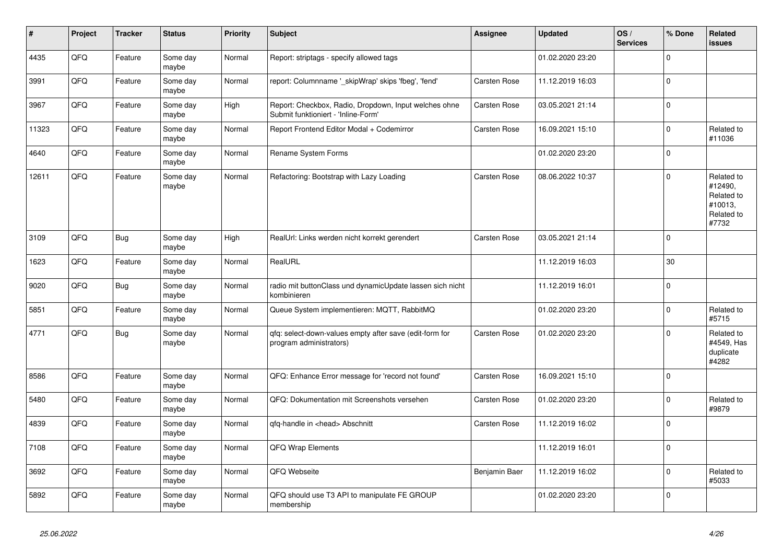| $\vert$ # | Project | <b>Tracker</b> | <b>Status</b>     | <b>Priority</b> | <b>Subject</b>                                                                               | <b>Assignee</b> | <b>Updated</b>   | OS/<br><b>Services</b> | % Done      | Related<br><b>issues</b>                                              |
|-----------|---------|----------------|-------------------|-----------------|----------------------------------------------------------------------------------------------|-----------------|------------------|------------------------|-------------|-----------------------------------------------------------------------|
| 4435      | QFQ     | Feature        | Some day<br>maybe | Normal          | Report: striptags - specify allowed tags                                                     |                 | 01.02.2020 23:20 |                        | $\mathbf 0$ |                                                                       |
| 3991      | QFQ     | Feature        | Some day<br>maybe | Normal          | report: Columnname '_skipWrap' skips 'fbeg', 'fend'                                          | Carsten Rose    | 11.12.2019 16:03 |                        | $\pmb{0}$   |                                                                       |
| 3967      | QFQ     | Feature        | Some day<br>maybe | High            | Report: Checkbox, Radio, Dropdown, Input welches ohne<br>Submit funktioniert - 'Inline-Form' | Carsten Rose    | 03.05.2021 21:14 |                        | $\Omega$    |                                                                       |
| 11323     | QFQ     | Feature        | Some day<br>maybe | Normal          | Report Frontend Editor Modal + Codemirror                                                    | Carsten Rose    | 16.09.2021 15:10 |                        | $\mathbf 0$ | Related to<br>#11036                                                  |
| 4640      | QFQ     | Feature        | Some day<br>maybe | Normal          | Rename System Forms                                                                          |                 | 01.02.2020 23:20 |                        | $\pmb{0}$   |                                                                       |
| 12611     | QFQ     | Feature        | Some day<br>maybe | Normal          | Refactoring: Bootstrap with Lazy Loading                                                     | Carsten Rose    | 08.06.2022 10:37 |                        | $\Omega$    | Related to<br>#12490,<br>Related to<br>#10013,<br>Related to<br>#7732 |
| 3109      | QFQ     | <b>Bug</b>     | Some day<br>maybe | High            | RealUrl: Links werden nicht korrekt gerendert                                                | Carsten Rose    | 03.05.2021 21:14 |                        | $\mathbf 0$ |                                                                       |
| 1623      | QFQ     | Feature        | Some day<br>maybe | Normal          | RealURL                                                                                      |                 | 11.12.2019 16:03 |                        | 30          |                                                                       |
| 9020      | QFQ     | <b>Bug</b>     | Some day<br>maybe | Normal          | radio mit buttonClass und dynamicUpdate lassen sich nicht<br>kombinieren                     |                 | 11.12.2019 16:01 |                        | $\pmb{0}$   |                                                                       |
| 5851      | QFQ     | Feature        | Some day<br>maybe | Normal          | Queue System implementieren: MQTT, RabbitMQ                                                  |                 | 01.02.2020 23:20 |                        | $\mathbf 0$ | Related to<br>#5715                                                   |
| 4771      | QFQ     | Bug            | Some day<br>maybe | Normal          | qfq: select-down-values empty after save (edit-form for<br>program administrators)           | Carsten Rose    | 01.02.2020 23:20 |                        | $\mathbf 0$ | Related to<br>#4549, Has<br>duplicate<br>#4282                        |
| 8586      | QFQ     | Feature        | Some day<br>maybe | Normal          | QFQ: Enhance Error message for 'record not found'                                            | Carsten Rose    | 16.09.2021 15:10 |                        | $\mathbf 0$ |                                                                       |
| 5480      | QFQ     | Feature        | Some day<br>maybe | Normal          | QFQ: Dokumentation mit Screenshots versehen                                                  | Carsten Rose    | 01.02.2020 23:20 |                        | $\mathbf 0$ | Related to<br>#9879                                                   |
| 4839      | QFQ     | Feature        | Some day<br>maybe | Normal          | qfq-handle in <head> Abschnitt</head>                                                        | Carsten Rose    | 11.12.2019 16:02 |                        | $\mathbf 0$ |                                                                       |
| 7108      | QFQ     | Feature        | Some day<br>maybe | Normal          | <b>QFQ Wrap Elements</b>                                                                     |                 | 11.12.2019 16:01 |                        | $\mathbf 0$ |                                                                       |
| 3692      | QFQ     | Feature        | Some day<br>maybe | Normal          | QFQ Webseite                                                                                 | Benjamin Baer   | 11.12.2019 16:02 |                        | $\mathbf 0$ | Related to<br>#5033                                                   |
| 5892      | QFQ     | Feature        | Some day<br>maybe | Normal          | QFQ should use T3 API to manipulate FE GROUP<br>membership                                   |                 | 01.02.2020 23:20 |                        | $\mathbf 0$ |                                                                       |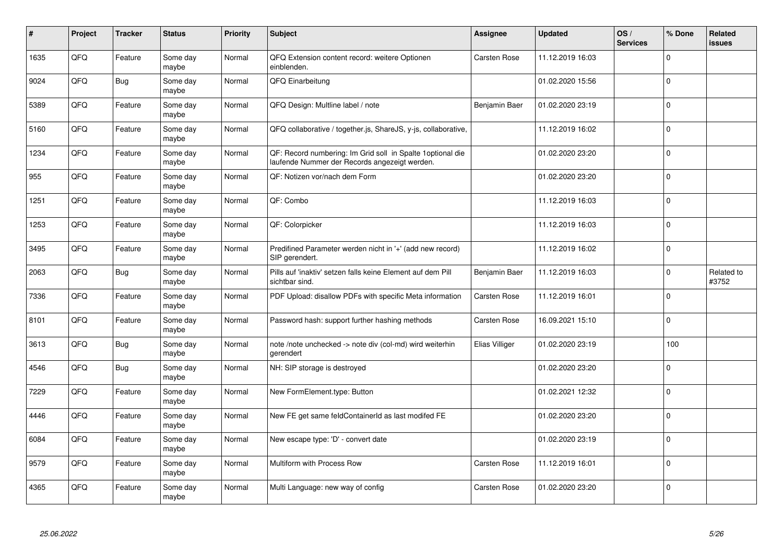| #    | Project | <b>Tracker</b> | <b>Status</b>     | <b>Priority</b> | <b>Subject</b>                                                                                              | Assignee            | <b>Updated</b>   | OS/<br><b>Services</b> | % Done      | Related<br><b>issues</b> |
|------|---------|----------------|-------------------|-----------------|-------------------------------------------------------------------------------------------------------------|---------------------|------------------|------------------------|-------------|--------------------------|
| 1635 | QFQ     | Feature        | Some day<br>maybe | Normal          | QFQ Extension content record: weitere Optionen<br>einblenden.                                               | Carsten Rose        | 11.12.2019 16:03 |                        | $\Omega$    |                          |
| 9024 | QFQ     | <b>Bug</b>     | Some day<br>maybe | Normal          | QFQ Einarbeitung                                                                                            |                     | 01.02.2020 15:56 |                        | $\Omega$    |                          |
| 5389 | QFQ     | Feature        | Some day<br>maybe | Normal          | QFQ Design: Multline label / note                                                                           | Benjamin Baer       | 01.02.2020 23:19 |                        | $\mathbf 0$ |                          |
| 5160 | QFQ     | Feature        | Some day<br>maybe | Normal          | QFQ collaborative / together.js, ShareJS, y-js, collaborative,                                              |                     | 11.12.2019 16:02 |                        | $\mathbf 0$ |                          |
| 1234 | QFQ     | Feature        | Some day<br>maybe | Normal          | QF: Record numbering: Im Grid soll in Spalte 1optional die<br>laufende Nummer der Records angezeigt werden. |                     | 01.02.2020 23:20 |                        | $\mathbf 0$ |                          |
| 955  | QFQ     | Feature        | Some day<br>maybe | Normal          | QF: Notizen vor/nach dem Form                                                                               |                     | 01.02.2020 23:20 |                        | $\mathbf 0$ |                          |
| 1251 | QFQ     | Feature        | Some day<br>maybe | Normal          | QF: Combo                                                                                                   |                     | 11.12.2019 16:03 |                        | $\mathbf 0$ |                          |
| 1253 | QFQ     | Feature        | Some day<br>maybe | Normal          | QF: Colorpicker                                                                                             |                     | 11.12.2019 16:03 |                        | $\Omega$    |                          |
| 3495 | QFQ     | Feature        | Some day<br>maybe | Normal          | Predifined Parameter werden nicht in '+' (add new record)<br>SIP gerendert.                                 |                     | 11.12.2019 16:02 |                        | $\Omega$    |                          |
| 2063 | QFQ     | Bug            | Some day<br>maybe | Normal          | Pills auf 'inaktiv' setzen falls keine Element auf dem Pill<br>sichtbar sind.                               | Benjamin Baer       | 11.12.2019 16:03 |                        | $\mathbf 0$ | Related to<br>#3752      |
| 7336 | QFQ     | Feature        | Some day<br>maybe | Normal          | PDF Upload: disallow PDFs with specific Meta information                                                    | <b>Carsten Rose</b> | 11.12.2019 16:01 |                        | $\mathbf 0$ |                          |
| 8101 | QFQ     | Feature        | Some day<br>maybe | Normal          | Password hash: support further hashing methods                                                              | <b>Carsten Rose</b> | 16.09.2021 15:10 |                        | $\mathbf 0$ |                          |
| 3613 | QFQ     | <b>Bug</b>     | Some day<br>maybe | Normal          | note /note unchecked -> note div (col-md) wird weiterhin<br>gerendert                                       | Elias Villiger      | 01.02.2020 23:19 |                        | 100         |                          |
| 4546 | QFQ     | <b>Bug</b>     | Some day<br>maybe | Normal          | NH: SIP storage is destroyed                                                                                |                     | 01.02.2020 23:20 |                        | $\mathbf 0$ |                          |
| 7229 | QFQ     | Feature        | Some day<br>maybe | Normal          | New FormElement.type: Button                                                                                |                     | 01.02.2021 12:32 |                        | $\Omega$    |                          |
| 4446 | QFQ     | Feature        | Some day<br>maybe | Normal          | New FE get same feldContainerId as last modifed FE                                                          |                     | 01.02.2020 23:20 |                        | $\mathbf 0$ |                          |
| 6084 | QFQ     | Feature        | Some day<br>maybe | Normal          | New escape type: 'D' - convert date                                                                         |                     | 01.02.2020 23:19 |                        | $\Omega$    |                          |
| 9579 | QFQ     | Feature        | Some day<br>maybe | Normal          | Multiform with Process Row                                                                                  | Carsten Rose        | 11.12.2019 16:01 |                        | $\mathbf 0$ |                          |
| 4365 | QFQ     | Feature        | Some day<br>maybe | Normal          | Multi Language: new way of config                                                                           | <b>Carsten Rose</b> | 01.02.2020 23:20 |                        | $\Omega$    |                          |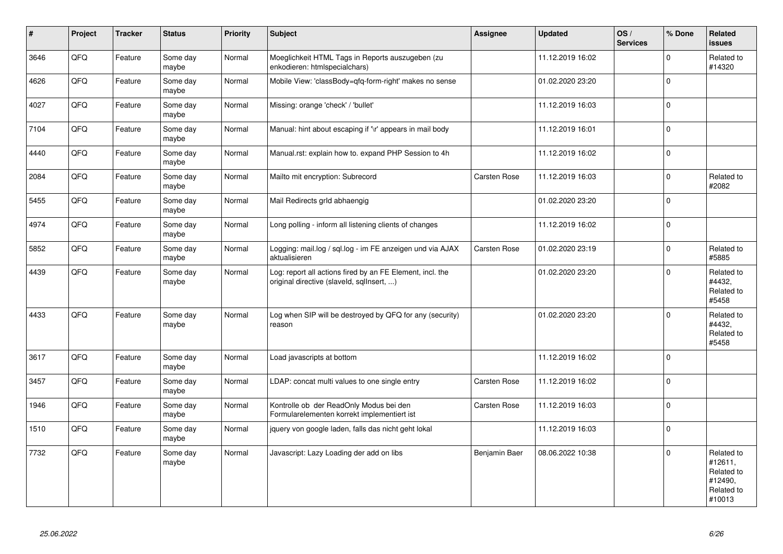| $\vert$ # | Project | <b>Tracker</b> | <b>Status</b>     | Priority | Subject                                                                                                | Assignee      | <b>Updated</b>   | OS/<br><b>Services</b> | % Done      | Related<br><b>issues</b>                                               |
|-----------|---------|----------------|-------------------|----------|--------------------------------------------------------------------------------------------------------|---------------|------------------|------------------------|-------------|------------------------------------------------------------------------|
| 3646      | QFQ     | Feature        | Some day<br>maybe | Normal   | Moeglichkeit HTML Tags in Reports auszugeben (zu<br>enkodieren: htmlspecialchars)                      |               | 11.12.2019 16:02 |                        | $\Omega$    | Related to<br>#14320                                                   |
| 4626      | QFQ     | Feature        | Some day<br>maybe | Normal   | Mobile View: 'classBody=qfq-form-right' makes no sense                                                 |               | 01.02.2020 23:20 |                        | $\Omega$    |                                                                        |
| 4027      | QFQ     | Feature        | Some day<br>maybe | Normal   | Missing: orange 'check' / 'bullet'                                                                     |               | 11.12.2019 16:03 |                        | $\mathbf 0$ |                                                                        |
| 7104      | QFQ     | Feature        | Some day<br>maybe | Normal   | Manual: hint about escaping if '\r' appears in mail body                                               |               | 11.12.2019 16:01 |                        | $\Omega$    |                                                                        |
| 4440      | QFQ     | Feature        | Some day<br>maybe | Normal   | Manual.rst: explain how to. expand PHP Session to 4h                                                   |               | 11.12.2019 16:02 |                        | $\mathbf 0$ |                                                                        |
| 2084      | QFQ     | Feature        | Some day<br>maybe | Normal   | Mailto mit encryption: Subrecord                                                                       | Carsten Rose  | 11.12.2019 16:03 |                        | $\mathbf 0$ | Related to<br>#2082                                                    |
| 5455      | QFQ     | Feature        | Some day<br>maybe | Normal   | Mail Redirects grld abhaengig                                                                          |               | 01.02.2020 23:20 |                        | $\mathbf 0$ |                                                                        |
| 4974      | QFQ     | Feature        | Some day<br>maybe | Normal   | Long polling - inform all listening clients of changes                                                 |               | 11.12.2019 16:02 |                        | $\mathbf 0$ |                                                                        |
| 5852      | QFQ     | Feature        | Some day<br>maybe | Normal   | Logging: mail.log / sql.log - im FE anzeigen und via AJAX<br>aktualisieren                             | Carsten Rose  | 01.02.2020 23:19 |                        | $\Omega$    | Related to<br>#5885                                                    |
| 4439      | QFQ     | Feature        | Some day<br>maybe | Normal   | Log: report all actions fired by an FE Element, incl. the<br>original directive (slaveld, sqllnsert, ) |               | 01.02.2020 23:20 |                        | $\mathbf 0$ | Related to<br>#4432,<br>Related to<br>#5458                            |
| 4433      | QFQ     | Feature        | Some day<br>maybe | Normal   | Log when SIP will be destroyed by QFQ for any (security)<br>reason                                     |               | 01.02.2020 23:20 |                        | $\Omega$    | Related to<br>#4432,<br>Related to<br>#5458                            |
| 3617      | QFQ     | Feature        | Some day<br>maybe | Normal   | Load javascripts at bottom                                                                             |               | 11.12.2019 16:02 |                        | $\mathbf 0$ |                                                                        |
| 3457      | QFQ     | Feature        | Some day<br>maybe | Normal   | LDAP: concat multi values to one single entry                                                          | Carsten Rose  | 11.12.2019 16:02 |                        | $\mathbf 0$ |                                                                        |
| 1946      | QFQ     | Feature        | Some day<br>maybe | Normal   | Kontrolle ob der ReadOnly Modus bei den<br>Formularelementen korrekt implementiert ist                 | Carsten Rose  | 11.12.2019 16:03 |                        | $\Omega$    |                                                                        |
| 1510      | QFQ     | Feature        | Some day<br>maybe | Normal   | jquery von google laden, falls das nicht geht lokal                                                    |               | 11.12.2019 16:03 |                        | $\mathbf 0$ |                                                                        |
| 7732      | QFQ     | Feature        | Some day<br>maybe | Normal   | Javascript: Lazy Loading der add on libs                                                               | Benjamin Baer | 08.06.2022 10:38 |                        | $\Omega$    | Related to<br>#12611,<br>Related to<br>#12490,<br>Related to<br>#10013 |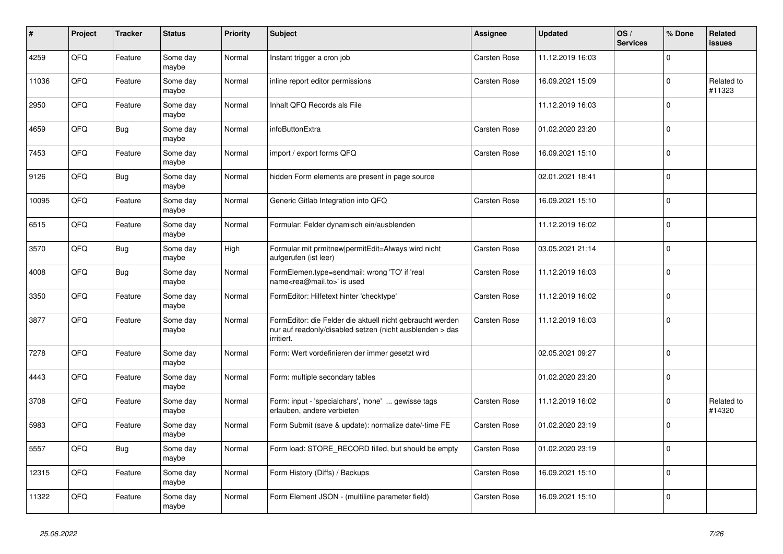| #     | Project | <b>Tracker</b> | <b>Status</b>     | <b>Priority</b> | <b>Subject</b>                                                                                                                      | Assignee     | <b>Updated</b>   | OS/<br><b>Services</b> | % Done      | <b>Related</b><br>issues |
|-------|---------|----------------|-------------------|-----------------|-------------------------------------------------------------------------------------------------------------------------------------|--------------|------------------|------------------------|-------------|--------------------------|
| 4259  | QFQ     | Feature        | Some day<br>maybe | Normal          | Instant trigger a cron job                                                                                                          | Carsten Rose | 11.12.2019 16:03 |                        | $\Omega$    |                          |
| 11036 | QFQ     | Feature        | Some day<br>maybe | Normal          | inline report editor permissions                                                                                                    | Carsten Rose | 16.09.2021 15:09 |                        | $\mathbf 0$ | Related to<br>#11323     |
| 2950  | QFQ     | Feature        | Some day<br>maybe | Normal          | Inhalt QFQ Records als File                                                                                                         |              | 11.12.2019 16:03 |                        | $\Omega$    |                          |
| 4659  | QFQ     | <b>Bug</b>     | Some day<br>maybe | Normal          | infoButtonExtra                                                                                                                     | Carsten Rose | 01.02.2020 23:20 |                        | $\mathbf 0$ |                          |
| 7453  | QFQ     | Feature        | Some day<br>maybe | Normal          | import / export forms QFQ                                                                                                           | Carsten Rose | 16.09.2021 15:10 |                        | $\mathbf 0$ |                          |
| 9126  | QFQ     | <b>Bug</b>     | Some day<br>maybe | Normal          | hidden Form elements are present in page source                                                                                     |              | 02.01.2021 18:41 |                        | $\mathbf 0$ |                          |
| 10095 | QFQ     | Feature        | Some day<br>maybe | Normal          | Generic Gitlab Integration into QFQ                                                                                                 | Carsten Rose | 16.09.2021 15:10 |                        | $\mathbf 0$ |                          |
| 6515  | QFQ     | Feature        | Some day<br>maybe | Normal          | Formular: Felder dynamisch ein/ausblenden                                                                                           |              | 11.12.2019 16:02 |                        | $\Omega$    |                          |
| 3570  | QFQ     | <b>Bug</b>     | Some day<br>maybe | High            | Formular mit prmitnew permitEdit=Always wird nicht<br>aufgerufen (ist leer)                                                         | Carsten Rose | 03.05.2021 21:14 |                        | $\mathbf 0$ |                          |
| 4008  | QFQ     | <b>Bug</b>     | Some day<br>maybe | Normal          | FormElemen.type=sendmail: wrong 'TO' if 'real<br>name <rea@mail.to>' is used</rea@mail.to>                                          | Carsten Rose | 11.12.2019 16:03 |                        | $\mathbf 0$ |                          |
| 3350  | QFQ     | Feature        | Some day<br>maybe | Normal          | FormEditor: Hilfetext hinter 'checktype'                                                                                            | Carsten Rose | 11.12.2019 16:02 |                        | $\mathbf 0$ |                          |
| 3877  | QFQ     | Feature        | Some day<br>maybe | Normal          | FormEditor: die Felder die aktuell nicht gebraucht werden<br>nur auf readonly/disabled setzen (nicht ausblenden > das<br>irritiert. | Carsten Rose | 11.12.2019 16:03 |                        | $\mathbf 0$ |                          |
| 7278  | QFQ     | Feature        | Some day<br>maybe | Normal          | Form: Wert vordefinieren der immer gesetzt wird                                                                                     |              | 02.05.2021 09:27 |                        | $\Omega$    |                          |
| 4443  | QFQ     | Feature        | Some day<br>maybe | Normal          | Form: multiple secondary tables                                                                                                     |              | 01.02.2020 23:20 |                        | $\mathbf 0$ |                          |
| 3708  | QFQ     | Feature        | Some day<br>maybe | Normal          | Form: input - 'specialchars', 'none'  gewisse tags<br>erlauben, andere verbieten                                                    | Carsten Rose | 11.12.2019 16:02 |                        | $\mathbf 0$ | Related to<br>#14320     |
| 5983  | QFQ     | Feature        | Some day<br>maybe | Normal          | Form Submit (save & update): normalize date/-time FE                                                                                | Carsten Rose | 01.02.2020 23:19 |                        | $\mathbf 0$ |                          |
| 5557  | QFQ     | Bug            | Some day<br>maybe | Normal          | Form load: STORE RECORD filled, but should be empty                                                                                 | Carsten Rose | 01.02.2020 23:19 |                        | $\Omega$    |                          |
| 12315 | QFQ     | Feature        | Some day<br>maybe | Normal          | Form History (Diffs) / Backups                                                                                                      | Carsten Rose | 16.09.2021 15:10 |                        | $\mathbf 0$ |                          |
| 11322 | QFQ     | Feature        | Some day<br>maybe | Normal          | Form Element JSON - (multiline parameter field)                                                                                     | Carsten Rose | 16.09.2021 15:10 |                        | $\mathbf 0$ |                          |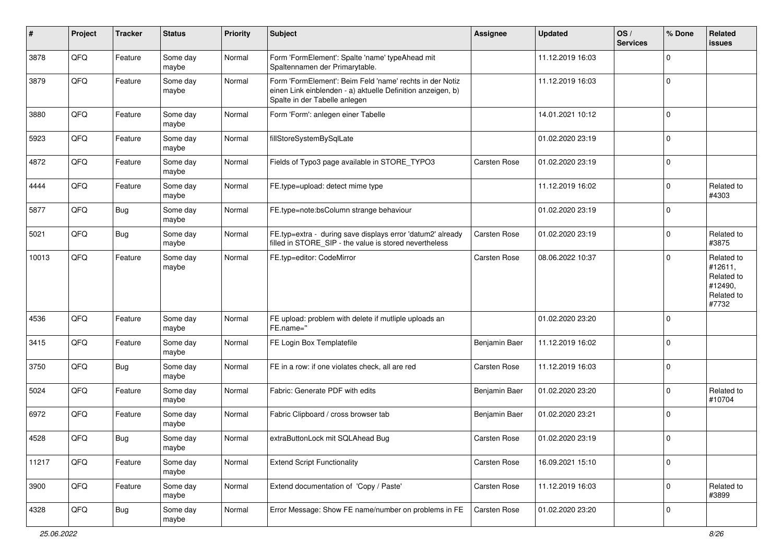| ∦     | Project | <b>Tracker</b> | <b>Status</b>     | <b>Priority</b> | Subject                                                                                                                                                  | Assignee            | <b>Updated</b>   | OS/<br><b>Services</b> | % Done      | Related<br><b>issues</b>                                              |
|-------|---------|----------------|-------------------|-----------------|----------------------------------------------------------------------------------------------------------------------------------------------------------|---------------------|------------------|------------------------|-------------|-----------------------------------------------------------------------|
| 3878  | QFQ     | Feature        | Some day<br>maybe | Normal          | Form 'FormElement': Spalte 'name' typeAhead mit<br>Spaltennamen der Primarytable.                                                                        |                     | 11.12.2019 16:03 |                        | $\mathbf 0$ |                                                                       |
| 3879  | QFQ     | Feature        | Some day<br>maybe | Normal          | Form 'FormElement': Beim Feld 'name' rechts in der Notiz<br>einen Link einblenden - a) aktuelle Definition anzeigen, b)<br>Spalte in der Tabelle anlegen |                     | 11.12.2019 16:03 |                        | $\mathbf 0$ |                                                                       |
| 3880  | QFQ     | Feature        | Some day<br>maybe | Normal          | Form 'Form': anlegen einer Tabelle                                                                                                                       |                     | 14.01.2021 10:12 |                        | $\mathbf 0$ |                                                                       |
| 5923  | QFQ     | Feature        | Some day<br>maybe | Normal          | fillStoreSystemBySqlLate                                                                                                                                 |                     | 01.02.2020 23:19 |                        | $\mathbf 0$ |                                                                       |
| 4872  | QFQ     | Feature        | Some day<br>maybe | Normal          | Fields of Typo3 page available in STORE_TYPO3                                                                                                            | Carsten Rose        | 01.02.2020 23:19 |                        | $\mathbf 0$ |                                                                       |
| 4444  | QFQ     | Feature        | Some day<br>maybe | Normal          | FE.type=upload: detect mime type                                                                                                                         |                     | 11.12.2019 16:02 |                        | $\mathbf 0$ | Related to<br>#4303                                                   |
| 5877  | QFQ     | <b>Bug</b>     | Some day<br>maybe | Normal          | FE.type=note:bsColumn strange behaviour                                                                                                                  |                     | 01.02.2020 23:19 |                        | $\mathbf 0$ |                                                                       |
| 5021  | QFQ     | <b>Bug</b>     | Some day<br>maybe | Normal          | FE.typ=extra - during save displays error 'datum2' already<br>filled in STORE_SIP - the value is stored nevertheless                                     | Carsten Rose        | 01.02.2020 23:19 |                        | $\mathbf 0$ | Related to<br>#3875                                                   |
| 10013 | QFQ     | Feature        | Some day<br>maybe | Normal          | FE.typ=editor: CodeMirror                                                                                                                                | <b>Carsten Rose</b> | 08.06.2022 10:37 |                        | $\mathbf 0$ | Related to<br>#12611,<br>Related to<br>#12490,<br>Related to<br>#7732 |
| 4536  | QFQ     | Feature        | Some day<br>maybe | Normal          | FE upload: problem with delete if mutliple uploads an<br>FE.name="                                                                                       |                     | 01.02.2020 23:20 |                        | $\mathbf 0$ |                                                                       |
| 3415  | QFQ     | Feature        | Some day<br>maybe | Normal          | FE Login Box Templatefile                                                                                                                                | Benjamin Baer       | 11.12.2019 16:02 |                        | $\mathbf 0$ |                                                                       |
| 3750  | QFQ     | <b>Bug</b>     | Some day<br>maybe | Normal          | FE in a row: if one violates check, all are red                                                                                                          | Carsten Rose        | 11.12.2019 16:03 |                        | $\mathbf 0$ |                                                                       |
| 5024  | QFQ     | Feature        | Some day<br>maybe | Normal          | Fabric: Generate PDF with edits                                                                                                                          | Benjamin Baer       | 01.02.2020 23:20 |                        | $\mathbf 0$ | Related to<br>#10704                                                  |
| 6972  | QFQ     | Feature        | Some day<br>maybe | Normal          | Fabric Clipboard / cross browser tab                                                                                                                     | Benjamin Baer       | 01.02.2020 23:21 |                        | $\mathbf 0$ |                                                                       |
| 4528  | QFQ     | Bug            | Some day<br>maybe | Normal          | extraButtonLock mit SQLAhead Bug                                                                                                                         | Carsten Rose        | 01.02.2020 23:19 |                        | $\mathbf 0$ |                                                                       |
| 11217 | QFQ     | Feature        | Some day<br>maybe | Normal          | <b>Extend Script Functionality</b>                                                                                                                       | Carsten Rose        | 16.09.2021 15:10 |                        | $\mathbf 0$ |                                                                       |
| 3900  | QFG     | Feature        | Some day<br>maybe | Normal          | Extend documentation of 'Copy / Paste'                                                                                                                   | Carsten Rose        | 11.12.2019 16:03 |                        | $\mathbf 0$ | Related to<br>#3899                                                   |
| 4328  | QFQ     | <b>Bug</b>     | Some day<br>maybe | Normal          | Error Message: Show FE name/number on problems in FE                                                                                                     | Carsten Rose        | 01.02.2020 23:20 |                        | 0           |                                                                       |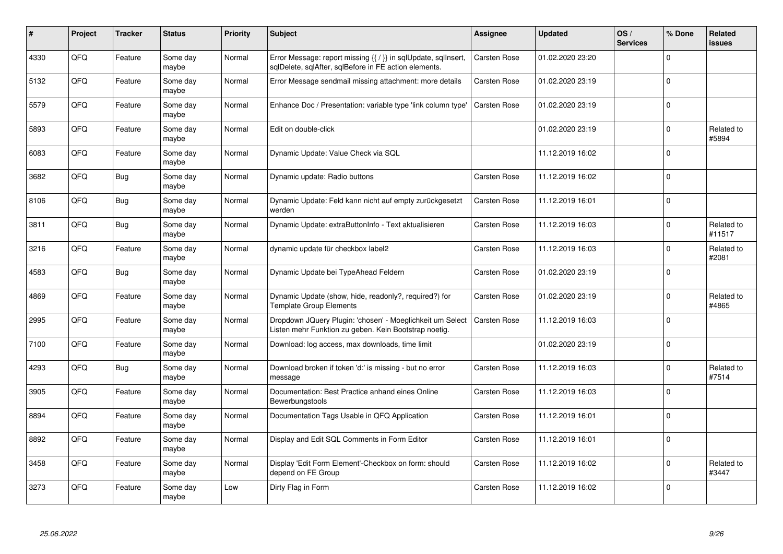| #    | Project | <b>Tracker</b> | <b>Status</b>     | <b>Priority</b> | <b>Subject</b>                                                                                                          | <b>Assignee</b> | <b>Updated</b>   | OS/<br><b>Services</b> | % Done      | <b>Related</b><br><b>issues</b> |
|------|---------|----------------|-------------------|-----------------|-------------------------------------------------------------------------------------------------------------------------|-----------------|------------------|------------------------|-------------|---------------------------------|
| 4330 | QFQ     | Feature        | Some day<br>maybe | Normal          | Error Message: report missing {{ / }} in sqlUpdate, sqlInsert,<br>sqlDelete, sqlAfter, sqlBefore in FE action elements. | Carsten Rose    | 01.02.2020 23:20 |                        | $\Omega$    |                                 |
| 5132 | QFQ     | Feature        | Some day<br>maybe | Normal          | Error Message sendmail missing attachment: more details                                                                 | Carsten Rose    | 01.02.2020 23:19 |                        | $\Omega$    |                                 |
| 5579 | QFQ     | Feature        | Some day<br>maybe | Normal          | Enhance Doc / Presentation: variable type 'link column type'                                                            | Carsten Rose    | 01.02.2020 23:19 |                        | $\pmb{0}$   |                                 |
| 5893 | QFQ     | Feature        | Some day<br>maybe | Normal          | Edit on double-click                                                                                                    |                 | 01.02.2020 23:19 |                        | $\Omega$    | Related to<br>#5894             |
| 6083 | QFQ     | Feature        | Some day<br>maybe | Normal          | Dynamic Update: Value Check via SQL                                                                                     |                 | 11.12.2019 16:02 |                        | $\mathbf 0$ |                                 |
| 3682 | QFQ     | Bug            | Some day<br>maybe | Normal          | Dynamic update: Radio buttons                                                                                           | Carsten Rose    | 11.12.2019 16:02 |                        | $\mathbf 0$ |                                 |
| 8106 | QFQ     | <b>Bug</b>     | Some day<br>maybe | Normal          | Dynamic Update: Feld kann nicht auf empty zurückgesetzt<br>werden                                                       | Carsten Rose    | 11.12.2019 16:01 |                        | $\mathbf 0$ |                                 |
| 3811 | QFQ     | Bug            | Some day<br>maybe | Normal          | Dynamic Update: extraButtonInfo - Text aktualisieren                                                                    | Carsten Rose    | 11.12.2019 16:03 |                        | $\Omega$    | Related to<br>#11517            |
| 3216 | QFQ     | Feature        | Some day<br>maybe | Normal          | dynamic update für checkbox label2                                                                                      | Carsten Rose    | 11.12.2019 16:03 |                        | $\mathbf 0$ | Related to<br>#2081             |
| 4583 | QFQ     | <b>Bug</b>     | Some day<br>maybe | Normal          | Dynamic Update bei TypeAhead Feldern                                                                                    | Carsten Rose    | 01.02.2020 23:19 |                        | $\Omega$    |                                 |
| 4869 | QFQ     | Feature        | Some day<br>maybe | Normal          | Dynamic Update (show, hide, readonly?, required?) for<br><b>Template Group Elements</b>                                 | Carsten Rose    | 01.02.2020 23:19 |                        | $\mathbf 0$ | Related to<br>#4865             |
| 2995 | QFQ     | Feature        | Some day<br>maybe | Normal          | Dropdown JQuery Plugin: 'chosen' - Moeglichkeit um Select<br>Listen mehr Funktion zu geben. Kein Bootstrap noetig.      | Carsten Rose    | 11.12.2019 16:03 |                        | $\mathbf 0$ |                                 |
| 7100 | QFQ     | Feature        | Some day<br>maybe | Normal          | Download: log access, max downloads, time limit                                                                         |                 | 01.02.2020 23:19 |                        | $\mathbf 0$ |                                 |
| 4293 | QFQ     | Bug            | Some day<br>maybe | Normal          | Download broken if token 'd:' is missing - but no error<br>message                                                      | Carsten Rose    | 11.12.2019 16:03 |                        | $\mathbf 0$ | Related to<br>#7514             |
| 3905 | QFQ     | Feature        | Some day<br>maybe | Normal          | Documentation: Best Practice anhand eines Online<br>Bewerbungstools                                                     | Carsten Rose    | 11.12.2019 16:03 |                        | $\mathbf 0$ |                                 |
| 8894 | QFQ     | Feature        | Some day<br>maybe | Normal          | Documentation Tags Usable in QFQ Application                                                                            | Carsten Rose    | 11.12.2019 16:01 |                        | $\Omega$    |                                 |
| 8892 | QFQ     | Feature        | Some day<br>maybe | Normal          | Display and Edit SQL Comments in Form Editor                                                                            | Carsten Rose    | 11.12.2019 16:01 |                        | $\mathbf 0$ |                                 |
| 3458 | QFQ     | Feature        | Some day<br>maybe | Normal          | Display 'Edit Form Element'-Checkbox on form: should<br>depend on FE Group                                              | Carsten Rose    | 11.12.2019 16:02 |                        | $\mathbf 0$ | Related to<br>#3447             |
| 3273 | QFQ     | Feature        | Some day<br>maybe | Low             | Dirty Flag in Form                                                                                                      | Carsten Rose    | 11.12.2019 16:02 |                        | $\Omega$    |                                 |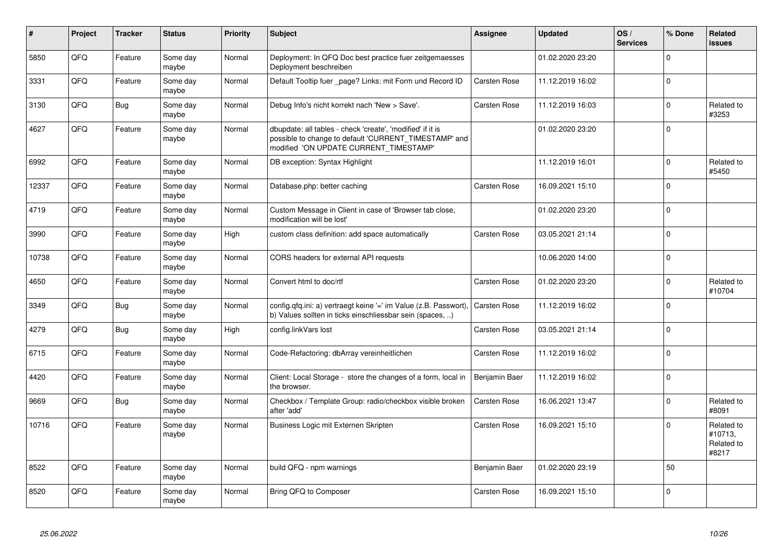| #     | Project | <b>Tracker</b> | <b>Status</b>     | <b>Priority</b> | <b>Subject</b>                                                                                                                                                | <b>Assignee</b> | <b>Updated</b>   | OS/<br><b>Services</b> | % Done      | Related<br><b>issues</b>                     |
|-------|---------|----------------|-------------------|-----------------|---------------------------------------------------------------------------------------------------------------------------------------------------------------|-----------------|------------------|------------------------|-------------|----------------------------------------------|
| 5850  | QFQ     | Feature        | Some day<br>maybe | Normal          | Deployment: In QFQ Doc best practice fuer zeitgemaesses<br>Deployment beschreiben                                                                             |                 | 01.02.2020 23:20 |                        | $\Omega$    |                                              |
| 3331  | QFQ     | Feature        | Some day<br>maybe | Normal          | Default Tooltip fuer _page? Links: mit Form und Record ID                                                                                                     | Carsten Rose    | 11.12.2019 16:02 |                        | $\Omega$    |                                              |
| 3130  | QFQ     | <b>Bug</b>     | Some day<br>maybe | Normal          | Debug Info's nicht korrekt nach 'New > Save'.                                                                                                                 | Carsten Rose    | 11.12.2019 16:03 |                        | $\mathbf 0$ | Related to<br>#3253                          |
| 4627  | QFQ     | Feature        | Some day<br>mavbe | Normal          | dbupdate: all tables - check 'create', 'modified' if it is<br>possible to change to default 'CURRENT TIMESTAMP' and<br>modified 'ON UPDATE CURRENT_TIMESTAMP' |                 | 01.02.2020 23:20 |                        | $\mathbf 0$ |                                              |
| 6992  | QFQ     | Feature        | Some day<br>maybe | Normal          | DB exception: Syntax Highlight                                                                                                                                |                 | 11.12.2019 16:01 |                        | $\Omega$    | Related to<br>#5450                          |
| 12337 | QFQ     | Feature        | Some day<br>maybe | Normal          | Database.php: better caching                                                                                                                                  | Carsten Rose    | 16.09.2021 15:10 |                        | $\mathbf 0$ |                                              |
| 4719  | QFQ     | Feature        | Some day<br>maybe | Normal          | Custom Message in Client in case of 'Browser tab close,<br>modification will be lost'                                                                         |                 | 01.02.2020 23:20 |                        | $\mathbf 0$ |                                              |
| 3990  | QFQ     | Feature        | Some day<br>maybe | High            | custom class definition: add space automatically                                                                                                              | Carsten Rose    | 03.05.2021 21:14 |                        | $\mathbf 0$ |                                              |
| 10738 | QFQ     | Feature        | Some day<br>maybe | Normal          | CORS headers for external API requests                                                                                                                        |                 | 10.06.2020 14:00 |                        | $\mathbf 0$ |                                              |
| 4650  | QFQ     | Feature        | Some day<br>maybe | Normal          | Convert html to doc/rtf                                                                                                                                       | Carsten Rose    | 01.02.2020 23:20 |                        | $\mathbf 0$ | Related to<br>#10704                         |
| 3349  | QFQ     | Bug            | Some day<br>maybe | Normal          | config.qfq.ini: a) vertraegt keine '=' im Value (z.B. Passwort),<br>b) Values sollten in ticks einschliessbar sein (spaces, )                                 | Carsten Rose    | 11.12.2019 16:02 |                        | $\Omega$    |                                              |
| 4279  | QFQ     | Bug            | Some day<br>maybe | High            | config.linkVars lost                                                                                                                                          | Carsten Rose    | 03.05.2021 21:14 |                        | $\mathbf 0$ |                                              |
| 6715  | QFQ     | Feature        | Some day<br>maybe | Normal          | Code-Refactoring: dbArray vereinheitlichen                                                                                                                    | Carsten Rose    | 11.12.2019 16:02 |                        | $\mathbf 0$ |                                              |
| 4420  | QFQ     | Feature        | Some day<br>maybe | Normal          | Client: Local Storage - store the changes of a form, local in<br>the browser.                                                                                 | Benjamin Baer   | 11.12.2019 16:02 |                        | $\mathbf 0$ |                                              |
| 9669  | QFQ     | <b>Bug</b>     | Some day<br>maybe | Normal          | Checkbox / Template Group: radio/checkbox visible broken<br>after 'add'                                                                                       | Carsten Rose    | 16.06.2021 13:47 |                        | $\Omega$    | Related to<br>#8091                          |
| 10716 | QFQ     | Feature        | Some day<br>maybe | Normal          | Business Logic mit Externen Skripten                                                                                                                          | Carsten Rose    | 16.09.2021 15:10 |                        | $\Omega$    | Related to<br>#10713,<br>Related to<br>#8217 |
| 8522  | QFQ     | Feature        | Some day<br>maybe | Normal          | build QFQ - npm warnings                                                                                                                                      | Benjamin Baer   | 01.02.2020 23:19 |                        | 50          |                                              |
| 8520  | QFQ     | Feature        | Some day<br>maybe | Normal          | Bring QFQ to Composer                                                                                                                                         | Carsten Rose    | 16.09.2021 15:10 |                        | $\mathbf 0$ |                                              |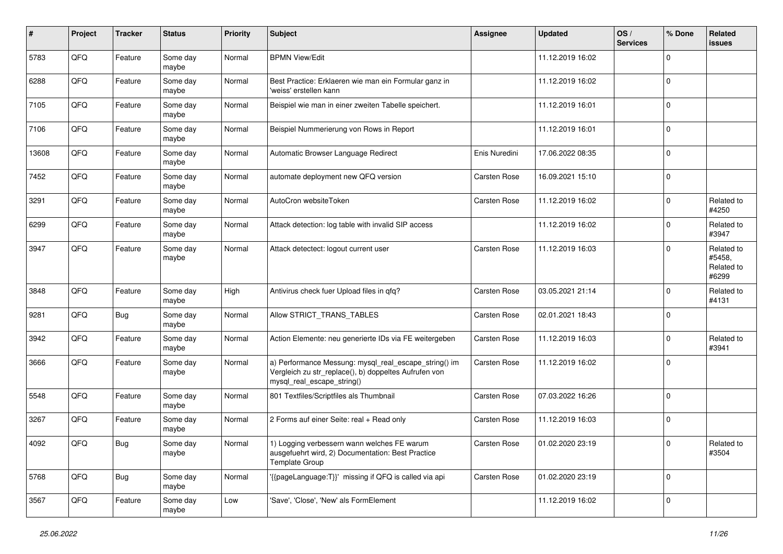| #     | Project | <b>Tracker</b> | <b>Status</b>     | <b>Priority</b> | <b>Subject</b>                                                                                                                               | <b>Assignee</b>     | <b>Updated</b>   | OS/<br><b>Services</b> | % Done      | Related<br><b>issues</b>                    |
|-------|---------|----------------|-------------------|-----------------|----------------------------------------------------------------------------------------------------------------------------------------------|---------------------|------------------|------------------------|-------------|---------------------------------------------|
| 5783  | QFQ     | Feature        | Some day<br>maybe | Normal          | <b>BPMN View/Edit</b>                                                                                                                        |                     | 11.12.2019 16:02 |                        | $\mathbf 0$ |                                             |
| 6288  | QFQ     | Feature        | Some day<br>maybe | Normal          | Best Practice: Erklaeren wie man ein Formular ganz in<br>'weiss' erstellen kann                                                              |                     | 11.12.2019 16:02 |                        | $\mathbf 0$ |                                             |
| 7105  | QFQ     | Feature        | Some day<br>maybe | Normal          | Beispiel wie man in einer zweiten Tabelle speichert.                                                                                         |                     | 11.12.2019 16:01 |                        | $\mathbf 0$ |                                             |
| 7106  | QFQ     | Feature        | Some day<br>maybe | Normal          | Beispiel Nummerierung von Rows in Report                                                                                                     |                     | 11.12.2019 16:01 |                        | $\mathbf 0$ |                                             |
| 13608 | QFQ     | Feature        | Some day<br>maybe | Normal          | Automatic Browser Language Redirect                                                                                                          | Enis Nuredini       | 17.06.2022 08:35 |                        | $\mathbf 0$ |                                             |
| 7452  | QFQ     | Feature        | Some day<br>maybe | Normal          | automate deployment new QFQ version                                                                                                          | Carsten Rose        | 16.09.2021 15:10 |                        | $\Omega$    |                                             |
| 3291  | QFQ     | Feature        | Some day<br>maybe | Normal          | AutoCron websiteToken                                                                                                                        | Carsten Rose        | 11.12.2019 16:02 |                        | $\mathbf 0$ | Related to<br>#4250                         |
| 6299  | QFQ     | Feature        | Some day<br>maybe | Normal          | Attack detection: log table with invalid SIP access                                                                                          |                     | 11.12.2019 16:02 |                        | $\mathbf 0$ | Related to<br>#3947                         |
| 3947  | QFQ     | Feature        | Some day<br>maybe | Normal          | Attack detectect: logout current user                                                                                                        | <b>Carsten Rose</b> | 11.12.2019 16:03 |                        | $\mathbf 0$ | Related to<br>#5458,<br>Related to<br>#6299 |
| 3848  | QFQ     | Feature        | Some day<br>maybe | High            | Antivirus check fuer Upload files in qfq?                                                                                                    | Carsten Rose        | 03.05.2021 21:14 |                        | $\mathbf 0$ | Related to<br>#4131                         |
| 9281  | QFQ     | <b>Bug</b>     | Some day<br>maybe | Normal          | Allow STRICT_TRANS_TABLES                                                                                                                    | Carsten Rose        | 02.01.2021 18:43 |                        | $\mathbf 0$ |                                             |
| 3942  | QFQ     | Feature        | Some day<br>maybe | Normal          | Action Elemente: neu generierte IDs via FE weitergeben                                                                                       | Carsten Rose        | 11.12.2019 16:03 |                        | $\mathbf 0$ | Related to<br>#3941                         |
| 3666  | QFQ     | Feature        | Some day<br>maybe | Normal          | a) Performance Messung: mysql_real_escape_string() im<br>Vergleich zu str_replace(), b) doppeltes Aufrufen von<br>mysql_real_escape_string() | Carsten Rose        | 11.12.2019 16:02 |                        | $\mathbf 0$ |                                             |
| 5548  | QFQ     | Feature        | Some day<br>maybe | Normal          | 801 Textfiles/Scriptfiles als Thumbnail                                                                                                      | Carsten Rose        | 07.03.2022 16:26 |                        | $\mathbf 0$ |                                             |
| 3267  | QFQ     | Feature        | Some day<br>maybe | Normal          | 2 Forms auf einer Seite: real + Read only                                                                                                    | Carsten Rose        | 11.12.2019 16:03 |                        | $\mathbf 0$ |                                             |
| 4092  | QFQ     | Bug            | Some day<br>maybe | Normal          | 1) Logging verbessern wann welches FE warum<br>ausgefuehrt wird, 2) Documentation: Best Practice<br><b>Template Group</b>                    | Carsten Rose        | 01.02.2020 23:19 |                        | $\pmb{0}$   | Related to<br>#3504                         |
| 5768  | QFQ     | Bug            | Some day<br>maybe | Normal          | '{{pageLanguage:T}}' missing if QFQ is called via api                                                                                        | Carsten Rose        | 01.02.2020 23:19 |                        | $\mathbf 0$ |                                             |
| 3567  | QFQ     | Feature        | Some day<br>maybe | Low             | 'Save', 'Close', 'New' als FormElement                                                                                                       |                     | 11.12.2019 16:02 |                        | $\mathbf 0$ |                                             |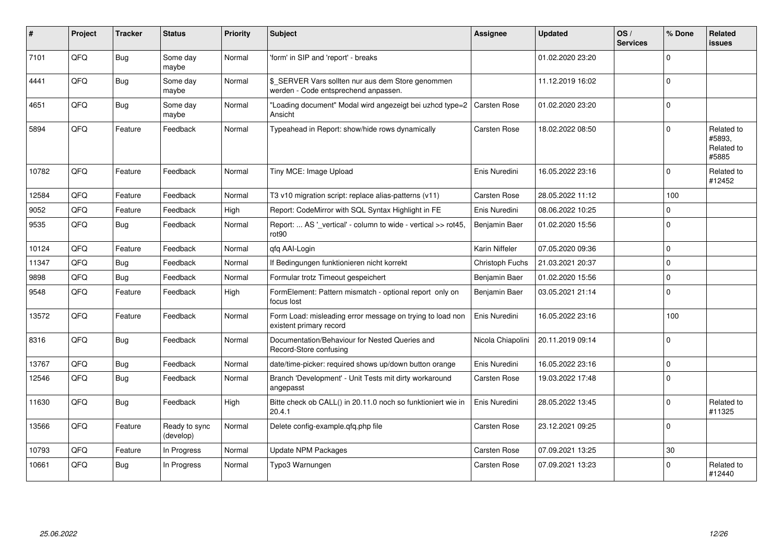| #     | Project | <b>Tracker</b> | <b>Status</b>              | <b>Priority</b> | Subject                                                                                   | Assignee          | <b>Updated</b>   | OS/<br><b>Services</b> | % Done      | Related<br><b>issues</b>                    |
|-------|---------|----------------|----------------------------|-----------------|-------------------------------------------------------------------------------------------|-------------------|------------------|------------------------|-------------|---------------------------------------------|
| 7101  | QFQ     | Bug            | Some day<br>maybe          | Normal          | 'form' in SIP and 'report' - breaks                                                       |                   | 01.02.2020 23:20 |                        | $\Omega$    |                                             |
| 4441  | QFQ     | Bug            | Some day<br>maybe          | Normal          | \$_SERVER Vars sollten nur aus dem Store genommen<br>werden - Code entsprechend anpassen. |                   | 11.12.2019 16:02 |                        | $\Omega$    |                                             |
| 4651  | QFQ     | <b>Bug</b>     | Some day<br>maybe          | Normal          | "Loading document" Modal wird angezeigt bei uzhcd type=2<br>Ansicht                       | Carsten Rose      | 01.02.2020 23:20 |                        | $\Omega$    |                                             |
| 5894  | QFQ     | Feature        | Feedback                   | Normal          | Typeahead in Report: show/hide rows dynamically                                           | Carsten Rose      | 18.02.2022 08:50 |                        | $\Omega$    | Related to<br>#5893,<br>Related to<br>#5885 |
| 10782 | QFQ     | Feature        | Feedback                   | Normal          | Tiny MCE: Image Upload                                                                    | Enis Nuredini     | 16.05.2022 23:16 |                        | $\Omega$    | Related to<br>#12452                        |
| 12584 | QFQ     | Feature        | Feedback                   | Normal          | T3 v10 migration script: replace alias-patterns (v11)                                     | Carsten Rose      | 28.05.2022 11:12 |                        | 100         |                                             |
| 9052  | QFQ     | Feature        | Feedback                   | High            | Report: CodeMirror with SQL Syntax Highlight in FE                                        | Enis Nuredini     | 08.06.2022 10:25 |                        | $\Omega$    |                                             |
| 9535  | QFQ     | Bug            | Feedback                   | Normal          | Report:  AS '_vertical' - column to wide - vertical >> rot45,<br>rot <sub>90</sub>        | Benjamin Baer     | 01.02.2020 15:56 |                        | $\Omega$    |                                             |
| 10124 | QFQ     | Feature        | Feedback                   | Normal          | qfq AAI-Login                                                                             | Karin Niffeler    | 07.05.2020 09:36 |                        | $\mathbf 0$ |                                             |
| 11347 | QFQ     | <b>Bug</b>     | Feedback                   | Normal          | If Bedingungen funktionieren nicht korrekt                                                | Christoph Fuchs   | 21.03.2021 20:37 |                        | $\Omega$    |                                             |
| 9898  | QFQ     | <b>Bug</b>     | Feedback                   | Normal          | Formular trotz Timeout gespeichert                                                        | Benjamin Baer     | 01.02.2020 15:56 |                        | $\mathbf 0$ |                                             |
| 9548  | QFQ     | Feature        | Feedback                   | High            | FormElement: Pattern mismatch - optional report only on<br>focus lost                     | Benjamin Baer     | 03.05.2021 21:14 |                        | $\mathbf 0$ |                                             |
| 13572 | QFQ     | Feature        | Feedback                   | Normal          | Form Load: misleading error message on trying to load non<br>existent primary record      | Enis Nuredini     | 16.05.2022 23:16 |                        | 100         |                                             |
| 8316  | QFQ     | <b>Bug</b>     | Feedback                   | Normal          | Documentation/Behaviour for Nested Queries and<br>Record-Store confusing                  | Nicola Chiapolini | 20.11.2019 09:14 |                        | $\mathbf 0$ |                                             |
| 13767 | QFQ     | Bug            | Feedback                   | Normal          | date/time-picker: required shows up/down button orange                                    | Enis Nuredini     | 16.05.2022 23:16 |                        | $\Omega$    |                                             |
| 12546 | QFQ     | <b>Bug</b>     | Feedback                   | Normal          | Branch 'Development' - Unit Tests mit dirty workaround<br>angepasst                       | Carsten Rose      | 19.03.2022 17:48 |                        | $\mathbf 0$ |                                             |
| 11630 | QFQ     | Bug            | Feedback                   | High            | Bitte check ob CALL() in 20.11.0 noch so funktioniert wie in<br>20.4.1                    | Enis Nuredini     | 28.05.2022 13:45 |                        | $\Omega$    | Related to<br>#11325                        |
| 13566 | QFQ     | Feature        | Ready to sync<br>(develop) | Normal          | Delete config-example.qfq.php file                                                        | Carsten Rose      | 23.12.2021 09:25 |                        | $\mathbf 0$ |                                             |
| 10793 | QFQ     | Feature        | In Progress                | Normal          | <b>Update NPM Packages</b>                                                                | Carsten Rose      | 07.09.2021 13:25 |                        | 30          |                                             |
| 10661 | QFQ     | <b>Bug</b>     | In Progress                | Normal          | Typo3 Warnungen                                                                           | Carsten Rose      | 07.09.2021 13:23 |                        | $\mathbf 0$ | Related to<br>#12440                        |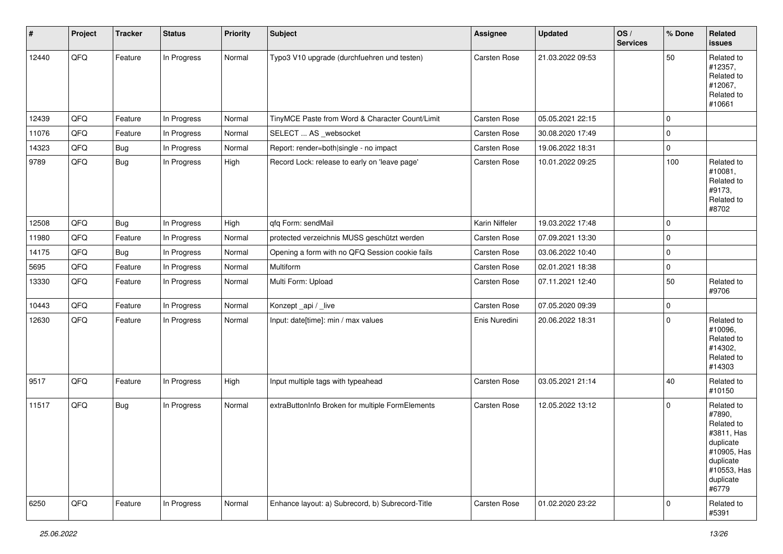| $\sharp$ | Project | <b>Tracker</b> | <b>Status</b> | <b>Priority</b> | <b>Subject</b>                                   | Assignee            | <b>Updated</b>   | OS/<br><b>Services</b> | % Done      | Related<br><b>issues</b>                                                                                                       |
|----------|---------|----------------|---------------|-----------------|--------------------------------------------------|---------------------|------------------|------------------------|-------------|--------------------------------------------------------------------------------------------------------------------------------|
| 12440    | QFQ     | Feature        | In Progress   | Normal          | Typo3 V10 upgrade (durchfuehren und testen)      | <b>Carsten Rose</b> | 21.03.2022 09:53 |                        | 50          | Related to<br>#12357,<br>Related to<br>#12067,<br>Related to<br>#10661                                                         |
| 12439    | QFQ     | Feature        | In Progress   | Normal          | TinyMCE Paste from Word & Character Count/Limit  | Carsten Rose        | 05.05.2021 22:15 |                        | $\mathbf 0$ |                                                                                                                                |
| 11076    | QFQ     | Feature        | In Progress   | Normal          | SELECT  AS _websocket                            | Carsten Rose        | 30.08.2020 17:49 |                        | $\mathbf 0$ |                                                                                                                                |
| 14323    | QFQ     | <b>Bug</b>     | In Progress   | Normal          | Report: render=both single - no impact           | Carsten Rose        | 19.06.2022 18:31 |                        | $\mathsf 0$ |                                                                                                                                |
| 9789     | QFQ     | <b>Bug</b>     | In Progress   | High            | Record Lock: release to early on 'leave page'    | Carsten Rose        | 10.01.2022 09:25 |                        | 100         | Related to<br>#10081,<br>Related to<br>#9173,<br>Related to<br>#8702                                                           |
| 12508    | QFQ     | <b>Bug</b>     | In Progress   | High            | qfq Form: sendMail                               | Karin Niffeler      | 19.03.2022 17:48 |                        | $\mathbf 0$ |                                                                                                                                |
| 11980    | QFQ     | Feature        | In Progress   | Normal          | protected verzeichnis MUSS geschützt werden      | Carsten Rose        | 07.09.2021 13:30 |                        | 0           |                                                                                                                                |
| 14175    | QFQ     | <b>Bug</b>     | In Progress   | Normal          | Opening a form with no QFQ Session cookie fails  | Carsten Rose        | 03.06.2022 10:40 |                        | $\pmb{0}$   |                                                                                                                                |
| 5695     | QFQ     | Feature        | In Progress   | Normal          | Multiform                                        | Carsten Rose        | 02.01.2021 18:38 |                        | $\pmb{0}$   |                                                                                                                                |
| 13330    | QFQ     | Feature        | In Progress   | Normal          | Multi Form: Upload                               | Carsten Rose        | 07.11.2021 12:40 |                        | 50          | Related to<br>#9706                                                                                                            |
| 10443    | QFQ     | Feature        | In Progress   | Normal          | Konzept_api / _live                              | Carsten Rose        | 07.05.2020 09:39 |                        | $\pmb{0}$   |                                                                                                                                |
| 12630    | QFQ     | Feature        | In Progress   | Normal          | Input: date[time]: min / max values              | Enis Nuredini       | 20.06.2022 18:31 |                        | $\pmb{0}$   | Related to<br>#10096,<br>Related to<br>#14302,<br>Related to<br>#14303                                                         |
| 9517     | QFQ     | Feature        | In Progress   | High            | Input multiple tags with typeahead               | Carsten Rose        | 03.05.2021 21:14 |                        | 40          | Related to<br>#10150                                                                                                           |
| 11517    | QFQ     | <b>Bug</b>     | In Progress   | Normal          | extraButtonInfo Broken for multiple FormElements | Carsten Rose        | 12.05.2022 13:12 |                        | $\mathbf 0$ | Related to<br>#7890,<br>Related to<br>#3811, Has<br>duplicate<br>#10905, Has<br>duplicate<br>#10553, Has<br>duplicate<br>#6779 |
| 6250     | QFO     | Feature        | In Progress   | Normal          | Enhance layout: a) Subrecord, b) Subrecord-Title | Carsten Rose        | 01.02.2020 23:22 |                        | 0           | Related to<br>#5391                                                                                                            |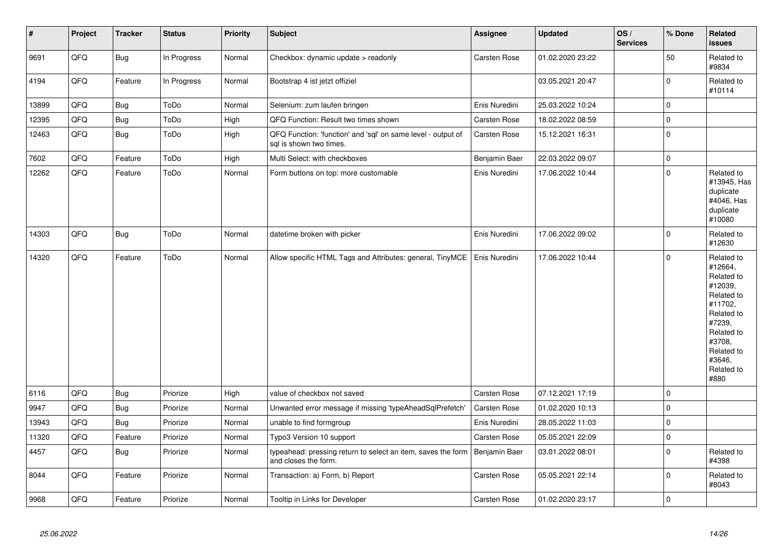| $\vert$ # | Project | <b>Tracker</b> | <b>Status</b> | <b>Priority</b> | Subject                                                                                 | Assignee      | <b>Updated</b>   | OS/<br><b>Services</b> | % Done      | Related<br><b>issues</b>                                                                                                                                              |
|-----------|---------|----------------|---------------|-----------------|-----------------------------------------------------------------------------------------|---------------|------------------|------------------------|-------------|-----------------------------------------------------------------------------------------------------------------------------------------------------------------------|
| 9691      | QFQ     | <b>Bug</b>     | In Progress   | Normal          | Checkbox: dynamic update > readonly                                                     | Carsten Rose  | 01.02.2020 23:22 |                        | 50          | Related to<br>#9834                                                                                                                                                   |
| 4194      | QFQ     | Feature        | In Progress   | Normal          | Bootstrap 4 ist jetzt offiziel                                                          |               | 03.05.2021 20:47 |                        | $\mathbf 0$ | Related to<br>#10114                                                                                                                                                  |
| 13899     | QFQ     | <b>Bug</b>     | ToDo          | Normal          | Selenium: zum laufen bringen                                                            | Enis Nuredini | 25.03.2022 10:24 |                        | $\mathbf 0$ |                                                                                                                                                                       |
| 12395     | QFQ     | <b>Bug</b>     | ToDo          | High            | QFQ Function: Result two times shown                                                    | Carsten Rose  | 18.02.2022 08:59 |                        | $\mathbf 0$ |                                                                                                                                                                       |
| 12463     | QFQ     | Bug            | ToDo          | High            | QFQ Function: 'function' and 'sql' on same level - output of<br>sql is shown two times. | Carsten Rose  | 15.12.2021 16:31 |                        | $\pmb{0}$   |                                                                                                                                                                       |
| 7602      | QFQ     | Feature        | ToDo          | High            | Multi Select: with checkboxes                                                           | Benjamin Baer | 22.03.2022 09:07 |                        | $\mathbf 0$ |                                                                                                                                                                       |
| 12262     | QFQ     | Feature        | ToDo          | Normal          | Form buttons on top: more customable                                                    | Enis Nuredini | 17.06.2022 10:44 |                        | $\Omega$    | Related to<br>#13945, Has<br>duplicate<br>#4046, Has<br>duplicate<br>#10080                                                                                           |
| 14303     | QFQ     | <b>Bug</b>     | ToDo          | Normal          | datetime broken with picker                                                             | Enis Nuredini | 17.06.2022 09:02 |                        | $\mathbf 0$ | Related to<br>#12630                                                                                                                                                  |
| 14320     | QFQ     | Feature        | ToDo          | Normal          | Allow specific HTML Tags and Attributes: general, TinyMCE                               | Enis Nuredini | 17.06.2022 10:44 |                        | $\Omega$    | Related to<br>#12664,<br>Related to<br>#12039,<br>Related to<br>#11702,<br>Related to<br>#7239,<br>Related to<br>#3708,<br>Related to<br>#3646,<br>Related to<br>#880 |
| 6116      | QFQ     | <b>Bug</b>     | Priorize      | High            | value of checkbox not saved                                                             | Carsten Rose  | 07.12.2021 17:19 |                        | $\mathbf 0$ |                                                                                                                                                                       |
| 9947      | QFQ     | <b>Bug</b>     | Priorize      | Normal          | Unwanted error message if missing 'typeAheadSqlPrefetch'                                | Carsten Rose  | 01.02.2020 10:13 |                        | $\Omega$    |                                                                                                                                                                       |
| 13943     | QFQ     | Bug            | Priorize      | Normal          | unable to find formgroup                                                                | Enis Nuredini | 28.05.2022 11:03 |                        | $\mathbf 0$ |                                                                                                                                                                       |
| 11320     | QFQ     | Feature        | Priorize      | Normal          | Typo3 Version 10 support                                                                | Carsten Rose  | 05.05.2021 22:09 |                        | $\Omega$    |                                                                                                                                                                       |
| 4457      | QFQ     | Bug            | Priorize      | Normal          | typeahead: pressing return to select an item, saves the form<br>and closes the form.    | Benjamin Baer | 03.01.2022 08:01 |                        | $\mathbf 0$ | Related to<br>#4398                                                                                                                                                   |
| 8044      | QFQ     | Feature        | Priorize      | Normal          | Transaction: a) Form, b) Report                                                         | Carsten Rose  | 05.05.2021 22:14 |                        | $\mathbf 0$ | Related to<br>#8043                                                                                                                                                   |
| 9968      | QFQ     | Feature        | Priorize      | Normal          | Tooltip in Links for Developer                                                          | Carsten Rose  | 01.02.2020 23:17 |                        | $\mathbf 0$ |                                                                                                                                                                       |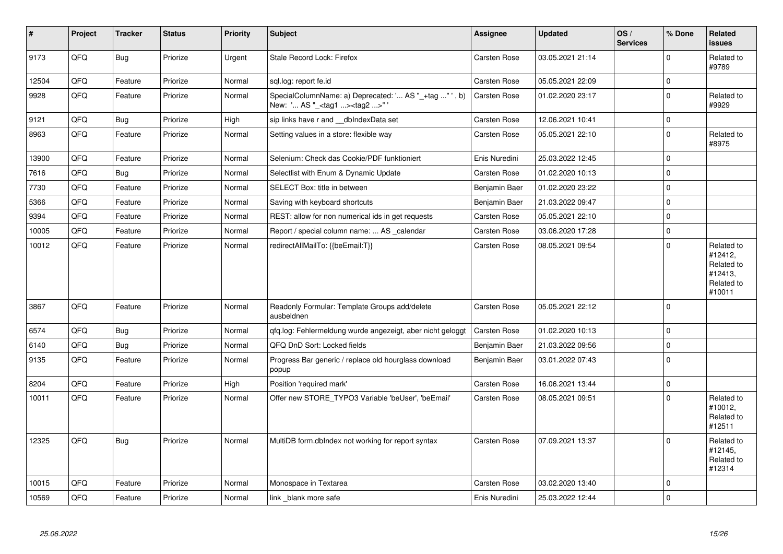| $\vert$ # | Project | <b>Tracker</b> | <b>Status</b> | Priority | <b>Subject</b>                                                                                    | <b>Assignee</b>     | <b>Updated</b>   | OS/<br><b>Services</b> | % Done      | Related<br><b>issues</b>                                               |
|-----------|---------|----------------|---------------|----------|---------------------------------------------------------------------------------------------------|---------------------|------------------|------------------------|-------------|------------------------------------------------------------------------|
| 9173      | QFQ     | <b>Bug</b>     | Priorize      | Urgent   | Stale Record Lock: Firefox                                                                        | Carsten Rose        | 03.05.2021 21:14 |                        | $\mathbf 0$ | Related to<br>#9789                                                    |
| 12504     | QFQ     | Feature        | Priorize      | Normal   | sql.log: report fe.id                                                                             | Carsten Rose        | 05.05.2021 22:09 |                        | $\pmb{0}$   |                                                                        |
| 9928      | QFQ     | Feature        | Priorize      | Normal   | SpecialColumnName: a) Deprecated: ' AS "_+tag " ', b)<br>New: ' AS "_ <tag1><tag2>"</tag2></tag1> | <b>Carsten Rose</b> | 01.02.2020 23:17 |                        | $\mathbf 0$ | Related to<br>#9929                                                    |
| 9121      | QFQ     | <b>Bug</b>     | Priorize      | High     | sip links have r and __dbIndexData set                                                            | Carsten Rose        | 12.06.2021 10:41 |                        | $\pmb{0}$   |                                                                        |
| 8963      | QFQ     | Feature        | Priorize      | Normal   | Setting values in a store: flexible way                                                           | Carsten Rose        | 05.05.2021 22:10 |                        | $\pmb{0}$   | Related to<br>#8975                                                    |
| 13900     | QFQ     | Feature        | Priorize      | Normal   | Selenium: Check das Cookie/PDF funktioniert                                                       | Enis Nuredini       | 25.03.2022 12:45 |                        | $\mathbf 0$ |                                                                        |
| 7616      | QFQ     | <b>Bug</b>     | Priorize      | Normal   | Selectlist with Enum & Dynamic Update                                                             | Carsten Rose        | 01.02.2020 10:13 |                        | $\pmb{0}$   |                                                                        |
| 7730      | QFQ     | Feature        | Priorize      | Normal   | SELECT Box: title in between                                                                      | Benjamin Baer       | 01.02.2020 23:22 |                        | $\mathbf 0$ |                                                                        |
| 5366      | QFQ     | Feature        | Priorize      | Normal   | Saving with keyboard shortcuts                                                                    | Benjamin Baer       | 21.03.2022 09:47 |                        | $\pmb{0}$   |                                                                        |
| 9394      | QFQ     | Feature        | Priorize      | Normal   | REST: allow for non numerical ids in get requests                                                 | Carsten Rose        | 05.05.2021 22:10 |                        | $\mathbf 0$ |                                                                        |
| 10005     | QFQ     | Feature        | Priorize      | Normal   | Report / special column name:  AS _calendar                                                       | Carsten Rose        | 03.06.2020 17:28 |                        | $\pmb{0}$   |                                                                        |
| 10012     | QFQ     | Feature        | Priorize      | Normal   | redirectAllMailTo: {{beEmail:T}}                                                                  | Carsten Rose        | 08.05.2021 09:54 |                        | $\mathbf 0$ | Related to<br>#12412,<br>Related to<br>#12413,<br>Related to<br>#10011 |
| 3867      | QFQ     | Feature        | Priorize      | Normal   | Readonly Formular: Template Groups add/delete<br>ausbeldnen                                       | <b>Carsten Rose</b> | 05.05.2021 22:12 |                        | $\mathbf 0$ |                                                                        |
| 6574      | QFQ     | Bug            | Priorize      | Normal   | gfg.log: Fehlermeldung wurde angezeigt, aber nicht geloggt                                        | <b>Carsten Rose</b> | 01.02.2020 10:13 |                        | $\mathbf 0$ |                                                                        |
| 6140      | QFQ     | <b>Bug</b>     | Priorize      | Normal   | QFQ DnD Sort: Locked fields                                                                       | Benjamin Baer       | 21.03.2022 09:56 |                        | $\mathbf 0$ |                                                                        |
| 9135      | QFQ     | Feature        | Priorize      | Normal   | Progress Bar generic / replace old hourglass download<br>popup                                    | Benjamin Baer       | 03.01.2022 07:43 |                        | $\mathbf 0$ |                                                                        |
| 8204      | QFQ     | Feature        | Priorize      | High     | Position 'required mark'                                                                          | Carsten Rose        | 16.06.2021 13:44 |                        | $\mathbf 0$ |                                                                        |
| 10011     | QFQ     | Feature        | Priorize      | Normal   | Offer new STORE_TYPO3 Variable 'beUser', 'beEmail'                                                | <b>Carsten Rose</b> | 08.05.2021 09:51 |                        | $\Omega$    | Related to<br>#10012,<br>Related to<br>#12511                          |
| 12325     | QFQ     | <b>Bug</b>     | Priorize      | Normal   | MultiDB form.dblndex not working for report syntax                                                | <b>Carsten Rose</b> | 07.09.2021 13:37 |                        | $\Omega$    | Related to<br>#12145,<br>Related to<br>#12314                          |
| 10015     | QFQ     | Feature        | Priorize      | Normal   | Monospace in Textarea                                                                             | Carsten Rose        | 03.02.2020 13:40 |                        | $\mathbf 0$ |                                                                        |
| 10569     | QFQ     | Feature        | Priorize      | Normal   | link blank more safe                                                                              | Enis Nuredini       | 25.03.2022 12:44 |                        | $\mathbf 0$ |                                                                        |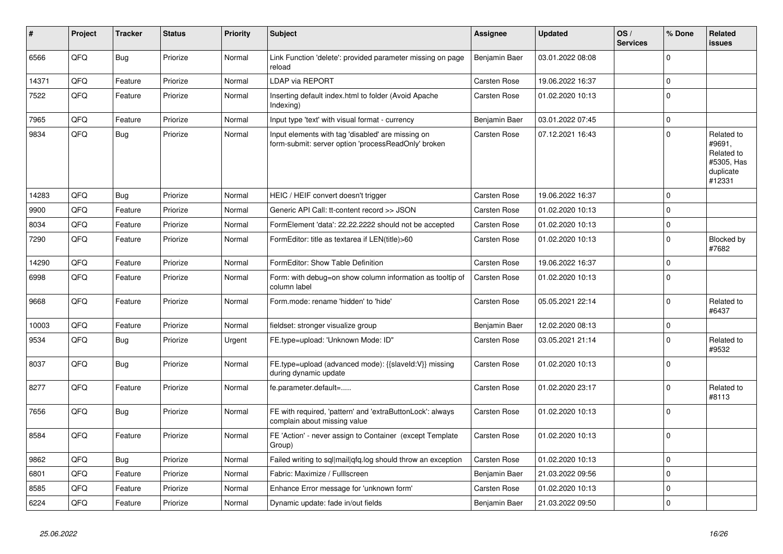| #     | Project | <b>Tracker</b> | <b>Status</b> | <b>Priority</b> | <b>Subject</b>                                                                                           | Assignee            | <b>Updated</b>   | OS/<br><b>Services</b> | % Done      | Related<br>issues                                                       |
|-------|---------|----------------|---------------|-----------------|----------------------------------------------------------------------------------------------------------|---------------------|------------------|------------------------|-------------|-------------------------------------------------------------------------|
| 6566  | QFQ     | <b>Bug</b>     | Priorize      | Normal          | Link Function 'delete': provided parameter missing on page<br>reload                                     | Benjamin Baer       | 03.01.2022 08:08 |                        | $\Omega$    |                                                                         |
| 14371 | QFQ     | Feature        | Priorize      | Normal          | <b>LDAP via REPORT</b>                                                                                   | Carsten Rose        | 19.06.2022 16:37 |                        | $\mathbf 0$ |                                                                         |
| 7522  | QFQ     | Feature        | Priorize      | Normal          | Inserting default index.html to folder (Avoid Apache<br>Indexing)                                        | Carsten Rose        | 01.02.2020 10:13 |                        | $\mathbf 0$ |                                                                         |
| 7965  | QFQ     | Feature        | Priorize      | Normal          | Input type 'text' with visual format - currency                                                          | Benjamin Baer       | 03.01.2022 07:45 |                        | $\mathbf 0$ |                                                                         |
| 9834  | QFQ     | <b>Bug</b>     | Priorize      | Normal          | Input elements with tag 'disabled' are missing on<br>form-submit: server option 'processReadOnly' broken | Carsten Rose        | 07.12.2021 16:43 |                        | $\mathbf 0$ | Related to<br>#9691,<br>Related to<br>#5305, Has<br>duplicate<br>#12331 |
| 14283 | QFQ     | Bug            | Priorize      | Normal          | HEIC / HEIF convert doesn't trigger                                                                      | Carsten Rose        | 19.06.2022 16:37 |                        | $\mathbf 0$ |                                                                         |
| 9900  | QFQ     | Feature        | Priorize      | Normal          | Generic API Call: tt-content record >> JSON                                                              | Carsten Rose        | 01.02.2020 10:13 |                        | $\mathbf 0$ |                                                                         |
| 8034  | QFQ     | Feature        | Priorize      | Normal          | FormElement 'data': 22.22.2222 should not be accepted                                                    | Carsten Rose        | 01.02.2020 10:13 |                        | $\pmb{0}$   |                                                                         |
| 7290  | QFQ     | Feature        | Priorize      | Normal          | FormEditor: title as textarea if LEN(title)>60                                                           | Carsten Rose        | 01.02.2020 10:13 |                        | $\mathbf 0$ | Blocked by<br>#7682                                                     |
| 14290 | QFQ     | Feature        | Priorize      | Normal          | FormEditor: Show Table Definition                                                                        | Carsten Rose        | 19.06.2022 16:37 |                        | $\pmb{0}$   |                                                                         |
| 6998  | QFQ     | Feature        | Priorize      | Normal          | Form: with debug=on show column information as tooltip of<br>column label                                | Carsten Rose        | 01.02.2020 10:13 |                        | $\Omega$    |                                                                         |
| 9668  | QFQ     | Feature        | Priorize      | Normal          | Form.mode: rename 'hidden' to 'hide'                                                                     | Carsten Rose        | 05.05.2021 22:14 |                        | $\mathbf 0$ | Related to<br>#6437                                                     |
| 10003 | QFQ     | Feature        | Priorize      | Normal          | fieldset: stronger visualize group                                                                       | Benjamin Baer       | 12.02.2020 08:13 |                        | $\mathbf 0$ |                                                                         |
| 9534  | QFQ     | <b>Bug</b>     | Priorize      | Urgent          | FE.type=upload: 'Unknown Mode: ID"                                                                       | <b>Carsten Rose</b> | 03.05.2021 21:14 |                        | $\mathbf 0$ | Related to<br>#9532                                                     |
| 8037  | QFQ     | Bug            | Priorize      | Normal          | FE.type=upload (advanced mode): {{slaveld:V}} missing<br>during dynamic update                           | Carsten Rose        | 01.02.2020 10:13 |                        | $\mathbf 0$ |                                                                         |
| 8277  | QFQ     | Feature        | Priorize      | Normal          | fe.parameter.default=                                                                                    | Carsten Rose        | 01.02.2020 23:17 |                        | $\mathbf 0$ | Related to<br>#8113                                                     |
| 7656  | QFQ     | <b>Bug</b>     | Priorize      | Normal          | FE with required, 'pattern' and 'extraButtonLock': always<br>complain about missing value                | Carsten Rose        | 01.02.2020 10:13 |                        | $\Omega$    |                                                                         |
| 8584  | QFQ     | Feature        | Priorize      | Normal          | FE 'Action' - never assign to Container (except Template)<br>Group)                                      | Carsten Rose        | 01.02.2020 10:13 |                        | $\mathbf 0$ |                                                                         |
| 9862  | QFQ     | <b>Bug</b>     | Priorize      | Normal          | Failed writing to sql mail qfq.log should throw an exception                                             | Carsten Rose        | 01.02.2020 10:13 |                        | $\mathbf 0$ |                                                                         |
| 6801  | QFQ     | Feature        | Priorize      | Normal          | Fabric: Maximize / Fulllscreen                                                                           | Benjamin Baer       | 21.03.2022 09:56 |                        | $\mathbf 0$ |                                                                         |
| 8585  | QFQ     | Feature        | Priorize      | Normal          | Enhance Error message for 'unknown form'                                                                 | <b>Carsten Rose</b> | 01.02.2020 10:13 |                        | $\mathbf 0$ |                                                                         |
| 6224  | QFQ     | Feature        | Priorize      | Normal          | Dynamic update: fade in/out fields                                                                       | Benjamin Baer       | 21.03.2022 09:50 |                        | $\mathbf 0$ |                                                                         |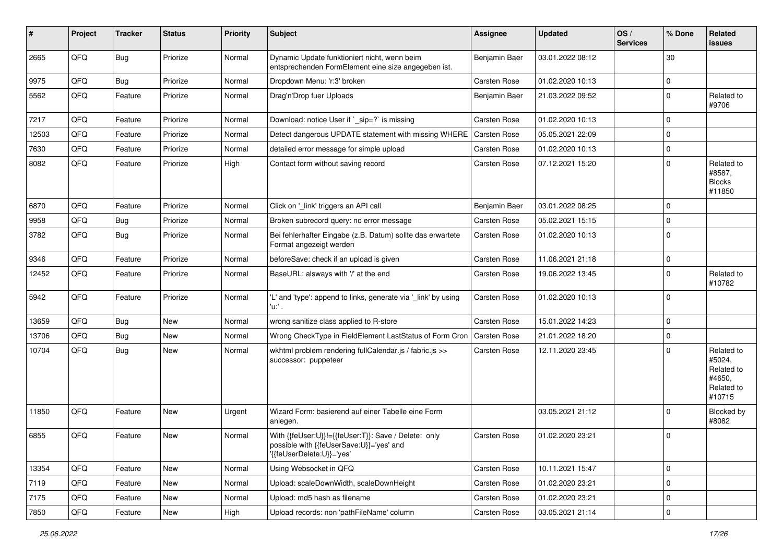| #     | Project | <b>Tracker</b> | <b>Status</b> | <b>Priority</b> | Subject                                                                                                                       | <b>Assignee</b> | <b>Updated</b>   | OS/<br><b>Services</b> | % Done      | Related<br>issues                                                    |
|-------|---------|----------------|---------------|-----------------|-------------------------------------------------------------------------------------------------------------------------------|-----------------|------------------|------------------------|-------------|----------------------------------------------------------------------|
| 2665  | QFQ     | Bug            | Priorize      | Normal          | Dynamic Update funktioniert nicht, wenn beim<br>entsprechenden FormElement eine size angegeben ist.                           | Benjamin Baer   | 03.01.2022 08:12 |                        | 30          |                                                                      |
| 9975  | QFQ     | Bug            | Priorize      | Normal          | Dropdown Menu: 'r:3' broken                                                                                                   | Carsten Rose    | 01.02.2020 10:13 |                        | $\pmb{0}$   |                                                                      |
| 5562  | QFQ     | Feature        | Priorize      | Normal          | Drag'n'Drop fuer Uploads                                                                                                      | Benjamin Baer   | 21.03.2022 09:52 |                        | $\mathbf 0$ | Related to<br>#9706                                                  |
| 7217  | QFQ     | Feature        | Priorize      | Normal          | Download: notice User if `_sip=?` is missing                                                                                  | Carsten Rose    | 01.02.2020 10:13 |                        | $\mathbf 0$ |                                                                      |
| 12503 | QFQ     | Feature        | Priorize      | Normal          | Detect dangerous UPDATE statement with missing WHERE                                                                          | Carsten Rose    | 05.05.2021 22:09 |                        | $\pmb{0}$   |                                                                      |
| 7630  | QFQ     | Feature        | Priorize      | Normal          | detailed error message for simple upload                                                                                      | Carsten Rose    | 01.02.2020 10:13 |                        | $\pmb{0}$   |                                                                      |
| 8082  | QFQ     | Feature        | Priorize      | High            | Contact form without saving record                                                                                            | Carsten Rose    | 07.12.2021 15:20 |                        | $\Omega$    | Related to<br>#8587,<br><b>Blocks</b><br>#11850                      |
| 6870  | QFQ     | Feature        | Priorize      | Normal          | Click on '_link' triggers an API call                                                                                         | Benjamin Baer   | 03.01.2022 08:25 |                        | 0           |                                                                      |
| 9958  | QFQ     | <b>Bug</b>     | Priorize      | Normal          | Broken subrecord query: no error message                                                                                      | Carsten Rose    | 05.02.2021 15:15 |                        | $\pmb{0}$   |                                                                      |
| 3782  | QFQ     | Bug            | Priorize      | Normal          | Bei fehlerhafter Eingabe (z.B. Datum) sollte das erwartete<br>Format angezeigt werden                                         | Carsten Rose    | 01.02.2020 10:13 |                        | $\mathbf 0$ |                                                                      |
| 9346  | QFQ     | Feature        | Priorize      | Normal          | beforeSave: check if an upload is given                                                                                       | Carsten Rose    | 11.06.2021 21:18 |                        | $\pmb{0}$   |                                                                      |
| 12452 | QFQ     | Feature        | Priorize      | Normal          | BaseURL: alsways with '/' at the end                                                                                          | Carsten Rose    | 19.06.2022 13:45 |                        | $\pmb{0}$   | Related to<br>#10782                                                 |
| 5942  | QFQ     | Feature        | Priorize      | Normal          | 'L' and 'type': append to links, generate via '_link' by using<br>'u:' .                                                      | Carsten Rose    | 01.02.2020 10:13 |                        | $\mathbf 0$ |                                                                      |
| 13659 | QFQ     | Bug            | <b>New</b>    | Normal          | wrong sanitize class applied to R-store                                                                                       | Carsten Rose    | 15.01.2022 14:23 |                        | $\mathbf 0$ |                                                                      |
| 13706 | QFQ     | Bug            | New           | Normal          | Wrong CheckType in FieldElement LastStatus of Form Cron                                                                       | Carsten Rose    | 21.01.2022 18:20 |                        | $\mathbf 0$ |                                                                      |
| 10704 | QFQ     | Bug            | New           | Normal          | wkhtml problem rendering fullCalendar.js / fabric.js >><br>successor: puppeteer                                               | Carsten Rose    | 12.11.2020 23:45 |                        | $\mathbf 0$ | Related to<br>#5024,<br>Related to<br>#4650.<br>Related to<br>#10715 |
| 11850 | QFQ     | Feature        | <b>New</b>    | Urgent          | Wizard Form: basierend auf einer Tabelle eine Form<br>anlegen.                                                                |                 | 03.05.2021 21:12 |                        | $\Omega$    | Blocked by<br>#8082                                                  |
| 6855  | QFQ     | Feature        | <b>New</b>    | Normal          | With {{feUser:U}}!={{feUser:T}}: Save / Delete: only<br>possible with {{teUserSave:U}}='yes' and<br>'{{feUserDelete:U}}='yes' | Carsten Rose    | 01.02.2020 23:21 |                        | 0           |                                                                      |
| 13354 | QFQ     | Feature        | New           | Normal          | Using Websocket in QFQ                                                                                                        | Carsten Rose    | 10.11.2021 15:47 |                        | $\mathbf 0$ |                                                                      |
| 7119  | QFQ     | Feature        | New           | Normal          | Upload: scaleDownWidth, scaleDownHeight                                                                                       | Carsten Rose    | 01.02.2020 23:21 |                        | $\pmb{0}$   |                                                                      |
| 7175  | QFQ     | Feature        | New           | Normal          | Upload: md5 hash as filename                                                                                                  | Carsten Rose    | 01.02.2020 23:21 |                        | $\pmb{0}$   |                                                                      |
| 7850  | QFG     | Feature        | New           | High            | Upload records: non 'pathFileName' column                                                                                     | Carsten Rose    | 03.05.2021 21:14 |                        | $\mathsf 0$ |                                                                      |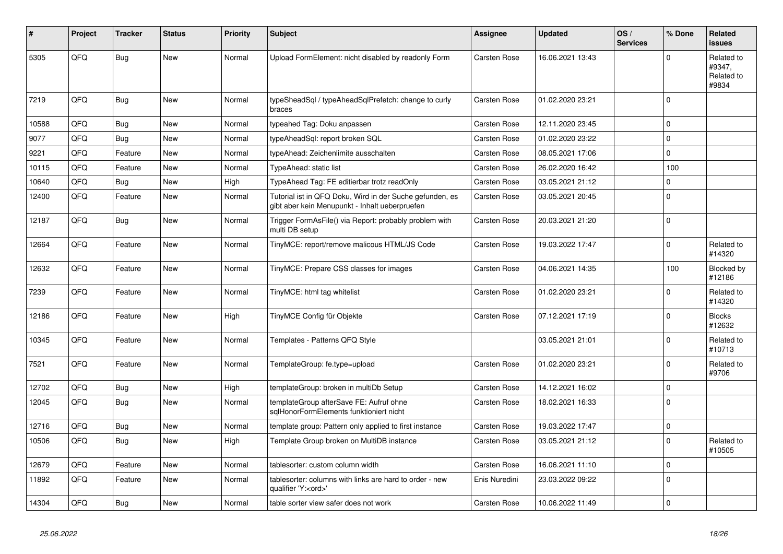| #     | Project | <b>Tracker</b> | <b>Status</b> | <b>Priority</b> | <b>Subject</b>                                                                                             | Assignee            | <b>Updated</b>   | OS/<br><b>Services</b> | % Done       | <b>Related</b><br><b>issues</b>             |
|-------|---------|----------------|---------------|-----------------|------------------------------------------------------------------------------------------------------------|---------------------|------------------|------------------------|--------------|---------------------------------------------|
| 5305  | QFQ     | <b>Bug</b>     | <b>New</b>    | Normal          | Upload FormElement: nicht disabled by readonly Form                                                        | <b>Carsten Rose</b> | 16.06.2021 13:43 |                        | $\Omega$     | Related to<br>#9347,<br>Related to<br>#9834 |
| 7219  | QFQ     | <b>Bug</b>     | <b>New</b>    | Normal          | typeSheadSql / typeAheadSqlPrefetch: change to curly<br>braces                                             | Carsten Rose        | 01.02.2020 23:21 |                        | $\Omega$     |                                             |
| 10588 | QFQ     | Bug            | <b>New</b>    | Normal          | typeahed Tag: Doku anpassen                                                                                | Carsten Rose        | 12.11.2020 23:45 |                        | $\mathbf 0$  |                                             |
| 9077  | QFQ     | Bug            | <b>New</b>    | Normal          | typeAheadSql: report broken SQL                                                                            | Carsten Rose        | 01.02.2020 23:22 |                        | $\mathsf 0$  |                                             |
| 9221  | QFQ     | Feature        | <b>New</b>    | Normal          | typeAhead: Zeichenlimite ausschalten                                                                       | <b>Carsten Rose</b> | 08.05.2021 17:06 |                        | $\mathbf{0}$ |                                             |
| 10115 | QFQ     | Feature        | <b>New</b>    | Normal          | TypeAhead: static list                                                                                     | <b>Carsten Rose</b> | 26.02.2020 16:42 |                        | 100          |                                             |
| 10640 | QFQ     | <b>Bug</b>     | <b>New</b>    | High            | TypeAhead Tag: FE editierbar trotz readOnly                                                                | Carsten Rose        | 03.05.2021 21:12 |                        | $\mathbf 0$  |                                             |
| 12400 | QFQ     | Feature        | <b>New</b>    | Normal          | Tutorial ist in QFQ Doku, Wird in der Suche gefunden, es<br>gibt aber kein Menupunkt - Inhalt ueberpruefen | Carsten Rose        | 03.05.2021 20:45 |                        | $\mathbf 0$  |                                             |
| 12187 | QFQ     | <b>Bug</b>     | <b>New</b>    | Normal          | Trigger FormAsFile() via Report: probably problem with<br>multi DB setup                                   | Carsten Rose        | 20.03.2021 21:20 |                        | $\Omega$     |                                             |
| 12664 | QFQ     | Feature        | New           | Normal          | TinyMCE: report/remove malicous HTML/JS Code                                                               | Carsten Rose        | 19.03.2022 17:47 |                        | $\mathbf 0$  | Related to<br>#14320                        |
| 12632 | QFQ     | Feature        | New           | Normal          | TinyMCE: Prepare CSS classes for images                                                                    | <b>Carsten Rose</b> | 04.06.2021 14:35 |                        | 100          | Blocked by<br>#12186                        |
| 7239  | QFQ     | Feature        | <b>New</b>    | Normal          | TinyMCE: html tag whitelist                                                                                | Carsten Rose        | 01.02.2020 23:21 |                        | $\Omega$     | Related to<br>#14320                        |
| 12186 | QFQ     | Feature        | <b>New</b>    | High            | TinyMCE Config für Objekte                                                                                 | Carsten Rose        | 07.12.2021 17:19 |                        | $\mathbf 0$  | <b>Blocks</b><br>#12632                     |
| 10345 | QFQ     | Feature        | <b>New</b>    | Normal          | Templates - Patterns QFQ Style                                                                             |                     | 03.05.2021 21:01 |                        | $\pmb{0}$    | Related to<br>#10713                        |
| 7521  | QFQ     | Feature        | New           | Normal          | TemplateGroup: fe.type=upload                                                                              | <b>Carsten Rose</b> | 01.02.2020 23:21 |                        | $\Omega$     | Related to<br>#9706                         |
| 12702 | QFQ     | Bug            | <b>New</b>    | High            | templateGroup: broken in multiDb Setup                                                                     | Carsten Rose        | 14.12.2021 16:02 |                        | $\mathsf 0$  |                                             |
| 12045 | QFQ     | Bug            | <b>New</b>    | Normal          | templateGroup afterSave FE: Aufruf ohne<br>salHonorFormElements funktioniert nicht                         | <b>Carsten Rose</b> | 18.02.2021 16:33 |                        | $\Omega$     |                                             |
| 12716 | QFQ     | Bug            | <b>New</b>    | Normal          | template group: Pattern only applied to first instance                                                     | Carsten Rose        | 19.03.2022 17:47 |                        | $\mathsf 0$  |                                             |
| 10506 | QFQ     | Bug            | New           | High            | Template Group broken on MultiDB instance                                                                  | Carsten Rose        | 03.05.2021 21:12 |                        | $\mathbf 0$  | Related to<br>#10505                        |
| 12679 | QFQ     | Feature        | New           | Normal          | tablesorter: custom column width                                                                           | <b>Carsten Rose</b> | 16.06.2021 11:10 |                        | $\mathbf 0$  |                                             |
| 11892 | QFQ     | Feature        | New           | Normal          | tablesorter: columns with links are hard to order - new<br>qualifier 'Y: <ord>'</ord>                      | Enis Nuredini       | 23.03.2022 09:22 |                        | $\mathbf 0$  |                                             |
| 14304 | QFQ     | Bug            | <b>New</b>    | Normal          | table sorter view safer does not work                                                                      | <b>Carsten Rose</b> | 10.06.2022 11:49 |                        | $\pmb{0}$    |                                             |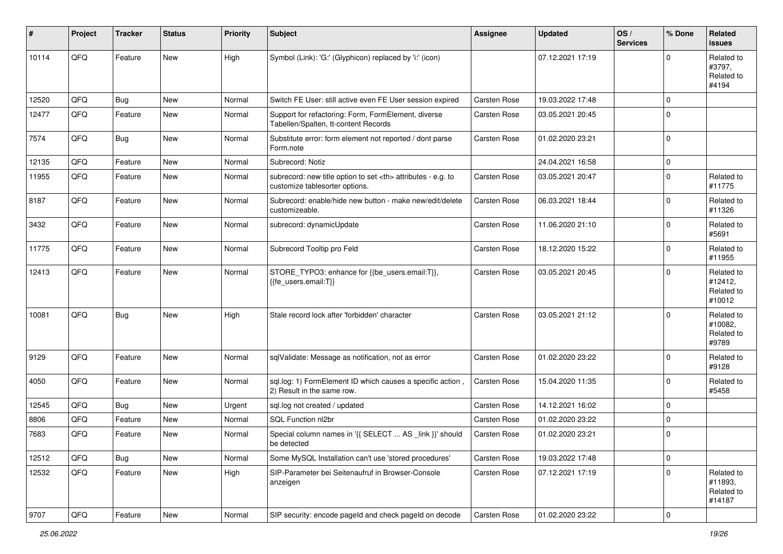| #     | Project | <b>Tracker</b> | <b>Status</b> | <b>Priority</b> | Subject                                                                                              | <b>Assignee</b>                                        | <b>Updated</b>   | OS/<br><b>Services</b> | % Done      | Related<br><b>issues</b>                      |                      |
|-------|---------|----------------|---------------|-----------------|------------------------------------------------------------------------------------------------------|--------------------------------------------------------|------------------|------------------------|-------------|-----------------------------------------------|----------------------|
| 10114 | QFQ     | Feature        | <b>New</b>    | High            | Symbol (Link): 'G:' (Glyphicon) replaced by 'i:' (icon)                                              |                                                        | 07.12.2021 17:19 |                        | $\Omega$    | Related to<br>#3797,<br>Related to<br>#4194   |                      |
| 12520 | QFQ     | Bug            | <b>New</b>    | Normal          | Switch FE User: still active even FE User session expired                                            | Carsten Rose                                           | 19.03.2022 17:48 |                        | $\mathbf 0$ |                                               |                      |
| 12477 | QFQ     | Feature        | <b>New</b>    | Normal          | Support for refactoring: Form, FormElement, diverse<br>Tabellen/Spalten, tt-content Records          | Carsten Rose                                           | 03.05.2021 20:45 |                        | $\Omega$    |                                               |                      |
| 7574  | QFQ     | <b>Bug</b>     | <b>New</b>    | Normal          | Substitute error: form element not reported / dont parse<br>Form.note                                | Carsten Rose                                           | 01.02.2020 23:21 |                        | $\mathbf 0$ |                                               |                      |
| 12135 | QFQ     | Feature        | New           | Normal          | Subrecord: Notiz                                                                                     |                                                        | 24.04.2021 16:58 |                        | $\pmb{0}$   |                                               |                      |
| 11955 | QFQ     | Feature        | <b>New</b>    | Normal          | subrecord: new title option to set <th> attributes - e.g. to<br/>customize tablesorter options.</th> | attributes - e.g. to<br>customize tablesorter options. | Carsten Rose     | 03.05.2021 20:47       |             | $\mathbf 0$                                   | Related to<br>#11775 |
| 8187  | QFQ     | Feature        | <b>New</b>    | Normal          | Subrecord: enable/hide new button - make new/edit/delete<br>customizeable.                           | Carsten Rose                                           | 06.03.2021 18:44 |                        | $\mathbf 0$ | Related to<br>#11326                          |                      |
| 3432  | QFQ     | Feature        | <b>New</b>    | Normal          | subrecord: dynamicUpdate                                                                             | Carsten Rose                                           | 11.06.2020 21:10 |                        | $\mathbf 0$ | Related to<br>#5691                           |                      |
| 11775 | QFQ     | Feature        | New           | Normal          | Subrecord Tooltip pro Feld                                                                           | Carsten Rose                                           | 18.12.2020 15:22 |                        | $\mathbf 0$ | Related to<br>#11955                          |                      |
| 12413 | QFQ     | Feature        | New           | Normal          | STORE_TYPO3: enhance for {{be_users.email:T}},<br>{fe_users.email:T}}                                | Carsten Rose                                           | 03.05.2021 20:45 |                        | $\mathbf 0$ | Related to<br>#12412,<br>Related to<br>#10012 |                      |
| 10081 | QFQ     | Bug            | <b>New</b>    | High            | Stale record lock after 'forbidden' character                                                        | Carsten Rose                                           | 03.05.2021 21:12 |                        | $\mathbf 0$ | Related to<br>#10082,<br>Related to<br>#9789  |                      |
| 9129  | QFQ     | Feature        | New           | Normal          | sqlValidate: Message as notification, not as error                                                   | Carsten Rose                                           | 01.02.2020 23:22 |                        | 0           | Related to<br>#9128                           |                      |
| 4050  | QFQ     | Feature        | New           | Normal          | sql.log: 1) FormElement ID which causes a specific action,<br>2) Result in the same row.             | Carsten Rose                                           | 15.04.2020 11:35 |                        | $\mathbf 0$ | Related to<br>#5458                           |                      |
| 12545 | QFQ     | Bug            | New           | Urgent          | sql.log not created / updated                                                                        | Carsten Rose                                           | 14.12.2021 16:02 |                        | $\mathbf 0$ |                                               |                      |
| 8806  | QFQ     | Feature        | New           | Normal          | SQL Function nl2br                                                                                   | Carsten Rose                                           | 01.02.2020 23:22 |                        | $\mathbf 0$ |                                               |                      |
| 7683  | QFQ     | Feature        | <b>New</b>    | Normal          | Special column names in '{{ SELECT  AS _link }}' should<br>be detected                               | Carsten Rose                                           | 01.02.2020 23:21 |                        | $\mathbf 0$ |                                               |                      |
| 12512 | QFQ     | <b>Bug</b>     | <b>New</b>    | Normal          | Some MySQL Installation can't use 'stored procedures'                                                | Carsten Rose                                           | 19.03.2022 17:48 |                        | $\mathbf 0$ |                                               |                      |
| 12532 | QFQ     | Feature        | New           | High            | SIP-Parameter bei Seitenaufruf in Browser-Console<br>anzeigen                                        | Carsten Rose                                           | 07.12.2021 17:19 |                        | $\mathbf 0$ | Related to<br>#11893,<br>Related to<br>#14187 |                      |
| 9707  | QFQ     | Feature        | New           | Normal          | SIP security: encode pageId and check pageId on decode                                               | Carsten Rose                                           | 01.02.2020 23:22 |                        | $\pmb{0}$   |                                               |                      |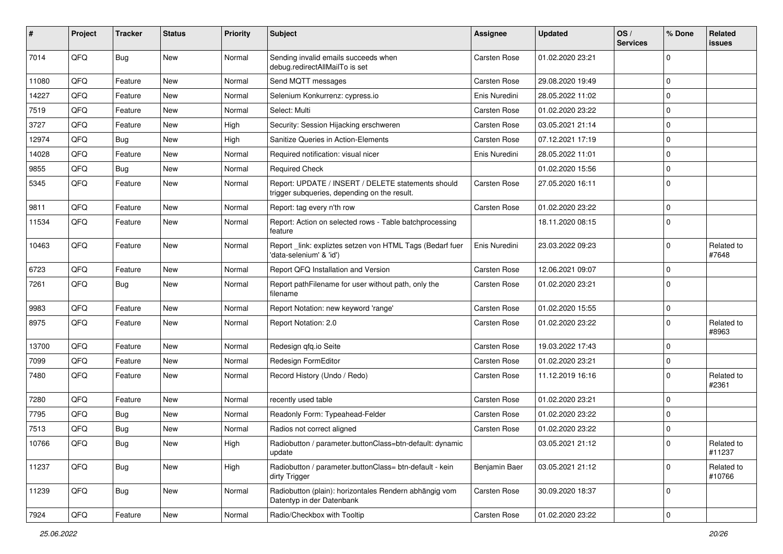| #     | Project | <b>Tracker</b> | <b>Status</b> | <b>Priority</b> | <b>Subject</b>                                                                                     | Assignee      | <b>Updated</b>   | OS/<br><b>Services</b> | % Done         | Related<br>issues    |
|-------|---------|----------------|---------------|-----------------|----------------------------------------------------------------------------------------------------|---------------|------------------|------------------------|----------------|----------------------|
| 7014  | QFQ     | Bug            | <b>New</b>    | Normal          | Sending invalid emails succeeds when<br>debug.redirectAllMailTo is set                             | Carsten Rose  | 01.02.2020 23:21 |                        | $\Omega$       |                      |
| 11080 | QFQ     | Feature        | New           | Normal          | Send MQTT messages                                                                                 | Carsten Rose  | 29.08.2020 19:49 |                        | $\Omega$       |                      |
| 14227 | QFQ     | Feature        | New           | Normal          | Selenium Konkurrenz: cypress.io                                                                    | Enis Nuredini | 28.05.2022 11:02 |                        | $\mathbf 0$    |                      |
| 7519  | QFQ     | Feature        | <b>New</b>    | Normal          | Select: Multi                                                                                      | Carsten Rose  | 01.02.2020 23:22 |                        | $\Omega$       |                      |
| 3727  | QFQ     | Feature        | New           | High            | Security: Session Hijacking erschweren                                                             | Carsten Rose  | 03.05.2021 21:14 |                        | $\Omega$       |                      |
| 12974 | QFQ     | <b>Bug</b>     | New           | High            | Sanitize Queries in Action-Elements                                                                | Carsten Rose  | 07.12.2021 17:19 |                        | $\mathbf 0$    |                      |
| 14028 | QFQ     | Feature        | New           | Normal          | Required notification: visual nicer                                                                | Enis Nuredini | 28.05.2022 11:01 |                        | $\Omega$       |                      |
| 9855  | QFQ     | <b>Bug</b>     | <b>New</b>    | Normal          | <b>Required Check</b>                                                                              |               | 01.02.2020 15:56 |                        | $\mathbf 0$    |                      |
| 5345  | QFQ     | Feature        | New           | Normal          | Report: UPDATE / INSERT / DELETE statements should<br>trigger subqueries, depending on the result. | Carsten Rose  | 27.05.2020 16:11 |                        | $\Omega$       |                      |
| 9811  | QFQ     | Feature        | <b>New</b>    | Normal          | Report: tag every n'th row                                                                         | Carsten Rose  | 01.02.2020 23:22 |                        | $\mathbf 0$    |                      |
| 11534 | QFQ     | Feature        | New           | Normal          | Report: Action on selected rows - Table batchprocessing<br>feature                                 |               | 18.11.2020 08:15 |                        | $\Omega$       |                      |
| 10463 | QFQ     | Feature        | <b>New</b>    | Normal          | Report_link: expliztes setzen von HTML Tags (Bedarf fuer<br>'data-selenium' & 'id')                | Enis Nuredini | 23.03.2022 09:23 |                        | $\Omega$       | Related to<br>#7648  |
| 6723  | QFQ     | Feature        | New           | Normal          | Report QFQ Installation and Version                                                                | Carsten Rose  | 12.06.2021 09:07 |                        | $\Omega$       |                      |
| 7261  | QFQ     | <b>Bug</b>     | <b>New</b>    | Normal          | Report pathFilename for user without path, only the<br>filename                                    | Carsten Rose  | 01.02.2020 23:21 |                        | $\Omega$       |                      |
| 9983  | QFQ     | Feature        | <b>New</b>    | Normal          | Report Notation: new keyword 'range'                                                               | Carsten Rose  | 01.02.2020 15:55 |                        | $\mathbf 0$    |                      |
| 8975  | QFQ     | Feature        | New           | Normal          | Report Notation: 2.0                                                                               | Carsten Rose  | 01.02.2020 23:22 |                        | $\Omega$       | Related to<br>#8963  |
| 13700 | QFQ     | Feature        | <b>New</b>    | Normal          | Redesign qfq.io Seite                                                                              | Carsten Rose  | 19.03.2022 17:43 |                        | $\Omega$       |                      |
| 7099  | QFQ     | Feature        | <b>New</b>    | Normal          | Redesign FormEditor                                                                                | Carsten Rose  | 01.02.2020 23:21 |                        | $\mathbf 0$    |                      |
| 7480  | QFQ     | Feature        | New           | Normal          | Record History (Undo / Redo)                                                                       | Carsten Rose  | 11.12.2019 16:16 |                        | $\Omega$       | Related to<br>#2361  |
| 7280  | QFQ     | Feature        | <b>New</b>    | Normal          | recently used table                                                                                | Carsten Rose  | 01.02.2020 23:21 |                        | $\Omega$       |                      |
| 7795  | QFQ     | Bug            | <b>New</b>    | Normal          | Readonly Form: Typeahead-Felder                                                                    | Carsten Rose  | 01.02.2020 23:22 |                        | $\mathbf 0$    |                      |
| 7513  | QFQ     | <b>Bug</b>     | New           | Normal          | Radios not correct aligned                                                                         | Carsten Rose  | 01.02.2020 23:22 |                        | $\mathbf 0$    |                      |
| 10766 | QFQ     | <b>Bug</b>     | <b>New</b>    | High            | Radiobutton / parameter.buttonClass=btn-default: dynamic<br>update                                 |               | 03.05.2021 21:12 |                        | $\pmb{0}$      | Related to<br>#11237 |
| 11237 | QFQ     | Bug            | New           | High            | Radiobutton / parameter.buttonClass= btn-default - kein<br>dirty Trigger                           | Benjamin Baer | 03.05.2021 21:12 |                        | $\mathbf 0$    | Related to<br>#10766 |
| 11239 | QFQ     | <b>Bug</b>     | New           | Normal          | Radiobutton (plain): horizontales Rendern abhängig vom<br>Datentyp in der Datenbank                | Carsten Rose  | 30.09.2020 18:37 |                        | 0              |                      |
| 7924  | QFQ     | Feature        | New           | Normal          | Radio/Checkbox with Tooltip                                                                        | Carsten Rose  | 01.02.2020 23:22 |                        | $\overline{0}$ |                      |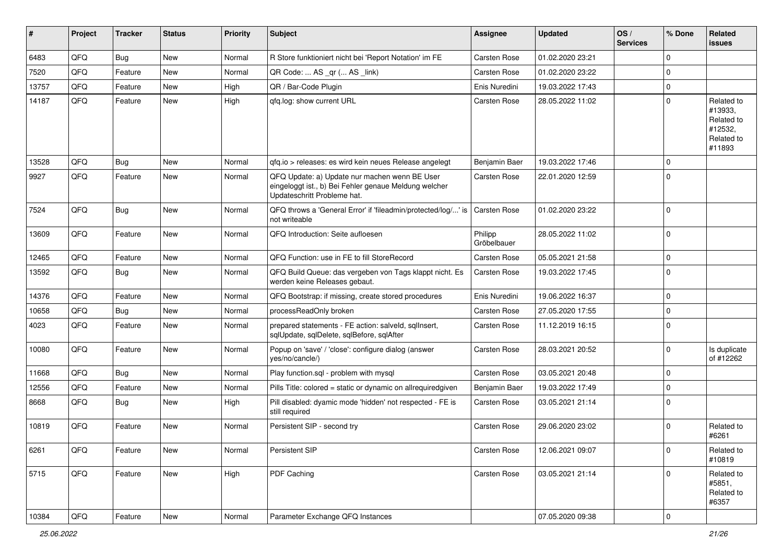| #     | Project        | <b>Tracker</b> | <b>Status</b> | <b>Priority</b> | Subject                                                                                                                               | <b>Assignee</b>        | <b>Updated</b>   | OS/<br><b>Services</b> | % Done      | Related<br><b>issues</b>                                               |
|-------|----------------|----------------|---------------|-----------------|---------------------------------------------------------------------------------------------------------------------------------------|------------------------|------------------|------------------------|-------------|------------------------------------------------------------------------|
| 6483  | QFQ            | Bug            | <b>New</b>    | Normal          | R Store funktioniert nicht bei 'Report Notation' im FE                                                                                | Carsten Rose           | 01.02.2020 23:21 |                        | $\mathbf 0$ |                                                                        |
| 7520  | QFQ            | Feature        | <b>New</b>    | Normal          | QR Code:  AS _qr ( AS _link)                                                                                                          | Carsten Rose           | 01.02.2020 23:22 |                        | $\mathbf 0$ |                                                                        |
| 13757 | QFQ            | Feature        | New           | High            | QR / Bar-Code Plugin                                                                                                                  | Enis Nuredini          | 19.03.2022 17:43 |                        | $\pmb{0}$   |                                                                        |
| 14187 | QFQ            | Feature        | New           | High            | qfq.log: show current URL                                                                                                             | Carsten Rose           | 28.05.2022 11:02 |                        | $\mathbf 0$ | Related to<br>#13933,<br>Related to<br>#12532,<br>Related to<br>#11893 |
| 13528 | QFQ            | Bug            | <b>New</b>    | Normal          | gfg.io > releases: es wird kein neues Release angelegt                                                                                | Benjamin Baer          | 19.03.2022 17:46 |                        | 0           |                                                                        |
| 9927  | QFQ            | Feature        | New           | Normal          | QFQ Update: a) Update nur machen wenn BE User<br>eingeloggt ist., b) Bei Fehler genaue Meldung welcher<br>Updateschritt Probleme hat. | Carsten Rose           | 22.01.2020 12:59 |                        | $\Omega$    |                                                                        |
| 7524  | QFQ            | <b>Bug</b>     | <b>New</b>    | Normal          | QFQ throws a 'General Error' if 'fileadmin/protected/log/' is<br>not writeable                                                        | <b>Carsten Rose</b>    | 01.02.2020 23:22 |                        | $\mathbf 0$ |                                                                        |
| 13609 | QFQ            | Feature        | New           | Normal          | QFQ Introduction: Seite aufloesen                                                                                                     | Philipp<br>Gröbelbauer | 28.05.2022 11:02 |                        | $\mathbf 0$ |                                                                        |
| 12465 | QFQ            | Feature        | <b>New</b>    | Normal          | QFQ Function: use in FE to fill StoreRecord                                                                                           | Carsten Rose           | 05.05.2021 21:58 |                        | $\mathbf 0$ |                                                                        |
| 13592 | QFQ            | Bug            | <b>New</b>    | Normal          | QFQ Build Queue: das vergeben von Tags klappt nicht. Es<br>werden keine Releases gebaut.                                              | Carsten Rose           | 19.03.2022 17:45 |                        | $\mathbf 0$ |                                                                        |
| 14376 | QFQ            | Feature        | New           | Normal          | QFQ Bootstrap: if missing, create stored procedures                                                                                   | Enis Nuredini          | 19.06.2022 16:37 |                        | $\pmb{0}$   |                                                                        |
| 10658 | QFQ            | <b>Bug</b>     | <b>New</b>    | Normal          | processReadOnly broken                                                                                                                | Carsten Rose           | 27.05.2020 17:55 |                        | $\mathbf 0$ |                                                                        |
| 4023  | QFQ            | Feature        | New           | Normal          | prepared statements - FE action: salveld, sqllnsert,<br>sqlUpdate, sqlDelete, sqlBefore, sqlAfter                                     | Carsten Rose           | 11.12.2019 16:15 |                        | $\Omega$    |                                                                        |
| 10080 | QFQ            | Feature        | New           | Normal          | Popup on 'save' / 'close': configure dialog (answer<br>yes/no/cancle/)                                                                | Carsten Rose           | 28.03.2021 20:52 |                        | $\mathbf 0$ | Is duplicate<br>of #12262                                              |
| 11668 | QFQ            | Bug            | New           | Normal          | Play function.sql - problem with mysql                                                                                                | Carsten Rose           | 03.05.2021 20:48 |                        | $\mathbf 0$ |                                                                        |
| 12556 | QFQ            | Feature        | <b>New</b>    | Normal          | Pills Title: colored = static or dynamic on allrequiredgiven                                                                          | Benjamin Baer          | 19.03.2022 17:49 |                        | $\pmb{0}$   |                                                                        |
| 8668  | QFQ            | Bug            | New           | High            | Pill disabled: dyamic mode 'hidden' not respected - FE is<br>still required                                                           | Carsten Rose           | 03.05.2021 21:14 |                        | $\mathbf 0$ |                                                                        |
| 10819 | QFQ            | Feature        | New           | Normal          | Persistent SIP - second try                                                                                                           | Carsten Rose           | 29.06.2020 23:02 |                        | $\mathbf 0$ | Related to<br>#6261                                                    |
| 6261  | QFQ            | Feature        | New           | Normal          | Persistent SIP                                                                                                                        | Carsten Rose           | 12.06.2021 09:07 |                        | $\pmb{0}$   | Related to<br>#10819                                                   |
| 5715  | QFQ            | Feature        | New           | High            | PDF Caching                                                                                                                           | Carsten Rose           | 03.05.2021 21:14 |                        | $\mathbf 0$ | Related to<br>#5851,<br>Related to<br>#6357                            |
| 10384 | $\mathsf{QFQ}$ | Feature        | New           | Normal          | Parameter Exchange QFQ Instances                                                                                                      |                        | 07.05.2020 09:38 |                        | $\mathsf 0$ |                                                                        |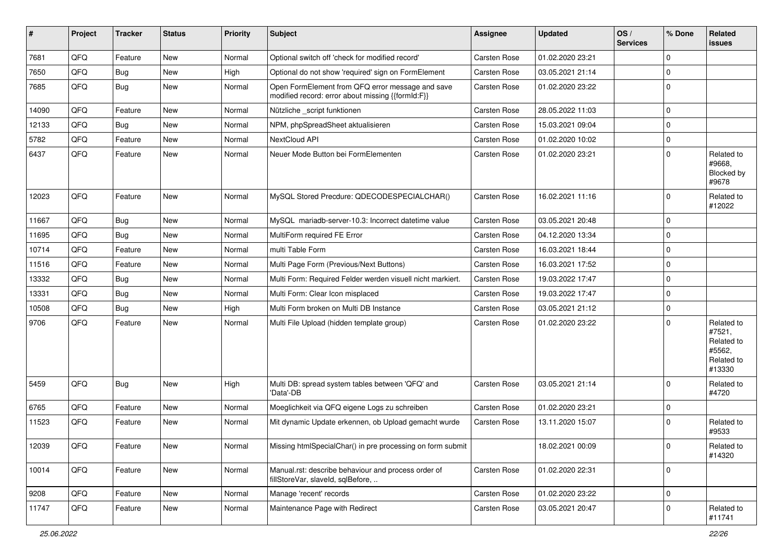| $\sharp$ | Project        | <b>Tracker</b> | <b>Status</b> | <b>Priority</b> | Subject                                                                                               | Assignee     | Updated          | OS/<br><b>Services</b> | % Done      | Related<br><b>issues</b>                                             |
|----------|----------------|----------------|---------------|-----------------|-------------------------------------------------------------------------------------------------------|--------------|------------------|------------------------|-------------|----------------------------------------------------------------------|
| 7681     | QFQ            | Feature        | New           | Normal          | Optional switch off 'check for modified record'                                                       | Carsten Rose | 01.02.2020 23:21 |                        | $\mathbf 0$ |                                                                      |
| 7650     | QFQ            | <b>Bug</b>     | New           | High            | Optional do not show 'required' sign on FormElement                                                   | Carsten Rose | 03.05.2021 21:14 |                        | $\pmb{0}$   |                                                                      |
| 7685     | QFQ            | Bug            | New           | Normal          | Open FormElement from QFQ error message and save<br>modified record: error about missing {{formId:F}} | Carsten Rose | 01.02.2020 23:22 |                        | $\mathbf 0$ |                                                                      |
| 14090    | QFQ            | Feature        | New           | Normal          | Nützliche _script funktionen                                                                          | Carsten Rose | 28.05.2022 11:03 |                        | $\mathbf 0$ |                                                                      |
| 12133    | QFQ            | <b>Bug</b>     | New           | Normal          | NPM, phpSpreadSheet aktualisieren                                                                     | Carsten Rose | 15.03.2021 09:04 |                        | $\mathbf 0$ |                                                                      |
| 5782     | QFQ            | Feature        | <b>New</b>    | Normal          | NextCloud API                                                                                         | Carsten Rose | 01.02.2020 10:02 |                        | $\mathbf 0$ |                                                                      |
| 6437     | QFQ            | Feature        | New           | Normal          | Neuer Mode Button bei FormElementen                                                                   | Carsten Rose | 01.02.2020 23:21 |                        | $\mathbf 0$ | Related to<br>#9668,<br>Blocked by<br>#9678                          |
| 12023    | QFQ            | Feature        | New           | Normal          | MySQL Stored Precdure: QDECODESPECIALCHAR()                                                           | Carsten Rose | 16.02.2021 11:16 |                        | $\mathbf 0$ | Related to<br>#12022                                                 |
| 11667    | QFQ            | Bug            | <b>New</b>    | Normal          | MySQL mariadb-server-10.3: Incorrect datetime value                                                   | Carsten Rose | 03.05.2021 20:48 |                        | $\mathbf 0$ |                                                                      |
| 11695    | QFQ            | <b>Bug</b>     | New           | Normal          | MultiForm required FE Error                                                                           | Carsten Rose | 04.12.2020 13:34 |                        | $\mathbf 0$ |                                                                      |
| 10714    | QFQ            | Feature        | New           | Normal          | multi Table Form                                                                                      | Carsten Rose | 16.03.2021 18:44 |                        | $\pmb{0}$   |                                                                      |
| 11516    | QFQ            | Feature        | New           | Normal          | Multi Page Form (Previous/Next Buttons)                                                               | Carsten Rose | 16.03.2021 17:52 |                        | $\mathbf 0$ |                                                                      |
| 13332    | QFQ            | <b>Bug</b>     | <b>New</b>    | Normal          | Multi Form: Required Felder werden visuell nicht markiert.                                            | Carsten Rose | 19.03.2022 17:47 |                        | $\mathbf 0$ |                                                                      |
| 13331    | QFQ            | Bug            | New           | Normal          | Multi Form: Clear Icon misplaced                                                                      | Carsten Rose | 19.03.2022 17:47 |                        | $\mathbf 0$ |                                                                      |
| 10508    | QFQ            | <b>Bug</b>     | <b>New</b>    | High            | Multi Form broken on Multi DB Instance                                                                | Carsten Rose | 03.05.2021 21:12 |                        | $\mathbf 0$ |                                                                      |
| 9706     | QFQ            | Feature        | New           | Normal          | Multi File Upload (hidden template group)                                                             | Carsten Rose | 01.02.2020 23:22 |                        | $\mathbf 0$ | Related to<br>#7521,<br>Related to<br>#5562,<br>Related to<br>#13330 |
| 5459     | QFQ            | Bug            | New           | High            | Multi DB: spread system tables between 'QFQ' and<br>'Data'-DB                                         | Carsten Rose | 03.05.2021 21:14 |                        | $\Omega$    | Related to<br>#4720                                                  |
| 6765     | QFQ            | Feature        | <b>New</b>    | Normal          | Moeglichkeit via QFQ eigene Logs zu schreiben                                                         | Carsten Rose | 01.02.2020 23:21 |                        | $\pmb{0}$   |                                                                      |
| 11523    | QFQ            | Feature        | New           | Normal          | Mit dynamic Update erkennen, ob Upload gemacht wurde                                                  | Carsten Rose | 13.11.2020 15:07 |                        | 0           | Related to<br>#9533                                                  |
| 12039    | $\mathsf{QFQ}$ | Feature        | <b>New</b>    | Normal          | Missing htmlSpecialChar() in pre processing on form submit                                            |              | 18.02.2021 00:09 |                        | 0           | Related to<br>#14320                                                 |
| 10014    | QFQ            | Feature        | <b>New</b>    | Normal          | Manual.rst: describe behaviour and process order of<br>fillStoreVar, slaveId, sqlBefore,              | Carsten Rose | 01.02.2020 22:31 |                        | $\mathbf 0$ |                                                                      |
| 9208     | QFQ            | Feature        | <b>New</b>    | Normal          | Manage 'recent' records                                                                               | Carsten Rose | 01.02.2020 23:22 |                        | $\pmb{0}$   |                                                                      |
| 11747    | QFQ            | Feature        | New           | Normal          | Maintenance Page with Redirect                                                                        | Carsten Rose | 03.05.2021 20:47 |                        | 0           | Related to<br>#11741                                                 |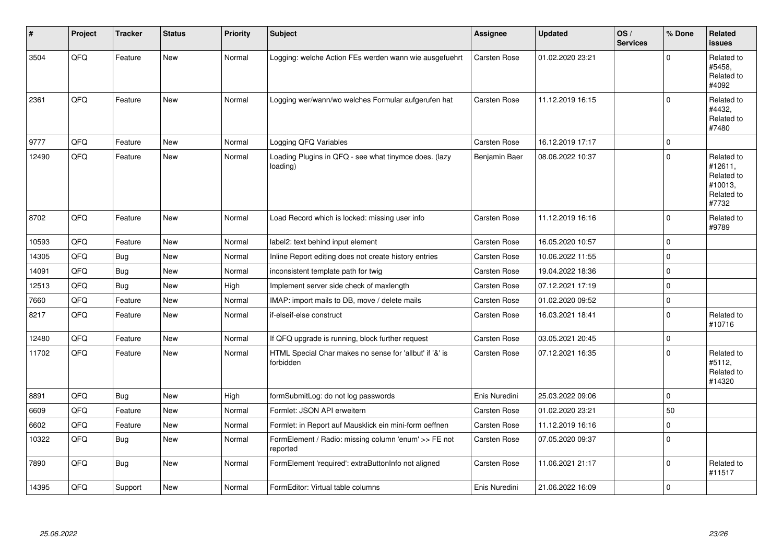| #     | Project | <b>Tracker</b> | <b>Status</b> | <b>Priority</b> | <b>Subject</b>                                                       | Assignee            | <b>Updated</b>   | OS/<br><b>Services</b> | % Done      | Related<br><b>issues</b>                                              |
|-------|---------|----------------|---------------|-----------------|----------------------------------------------------------------------|---------------------|------------------|------------------------|-------------|-----------------------------------------------------------------------|
| 3504  | QFQ     | Feature        | New           | Normal          | Logging: welche Action FEs werden wann wie ausgefuehrt               | Carsten Rose        | 01.02.2020 23:21 |                        | $\Omega$    | Related to<br>#5458,<br>Related to<br>#4092                           |
| 2361  | QFQ     | Feature        | <b>New</b>    | Normal          | Logging wer/wann/wo welches Formular aufgerufen hat                  | <b>Carsten Rose</b> | 11.12.2019 16:15 |                        | $\Omega$    | Related to<br>#4432.<br>Related to<br>#7480                           |
| 9777  | QFQ     | Feature        | <b>New</b>    | Normal          | Logging QFQ Variables                                                | <b>Carsten Rose</b> | 16.12.2019 17:17 |                        | $\mathbf 0$ |                                                                       |
| 12490 | QFQ     | Feature        | <b>New</b>    | Normal          | Loading Plugins in QFQ - see what tinymce does. (lazy<br>loading)    | Benjamin Baer       | 08.06.2022 10:37 |                        | $\Omega$    | Related to<br>#12611,<br>Related to<br>#10013,<br>Related to<br>#7732 |
| 8702  | QFQ     | Feature        | <b>New</b>    | Normal          | Load Record which is locked: missing user info                       | Carsten Rose        | 11.12.2019 16:16 |                        | $\Omega$    | Related to<br>#9789                                                   |
| 10593 | QFQ     | Feature        | <b>New</b>    | Normal          | label2: text behind input element                                    | Carsten Rose        | 16.05.2020 10:57 |                        | $\mathbf 0$ |                                                                       |
| 14305 | QFQ     | Bug            | <b>New</b>    | Normal          | Inline Report editing does not create history entries                | Carsten Rose        | 10.06.2022 11:55 |                        | $\mathbf 0$ |                                                                       |
| 14091 | QFQ     | <b>Bug</b>     | <b>New</b>    | Normal          | inconsistent template path for twig                                  | Carsten Rose        | 19.04.2022 18:36 |                        | $\mathbf 0$ |                                                                       |
| 12513 | QFQ     | <b>Bug</b>     | New           | High            | Implement server side check of maxlength                             | Carsten Rose        | 07.12.2021 17:19 |                        | $\mathbf 0$ |                                                                       |
| 7660  | QFQ     | Feature        | <b>New</b>    | Normal          | IMAP: import mails to DB, move / delete mails                        | Carsten Rose        | 01.02.2020 09:52 |                        | $\pmb{0}$   |                                                                       |
| 8217  | QFQ     | Feature        | <b>New</b>    | Normal          | if-elseif-else construct                                             | Carsten Rose        | 16.03.2021 18:41 |                        | $\Omega$    | Related to<br>#10716                                                  |
| 12480 | QFQ     | Feature        | <b>New</b>    | Normal          | If QFQ upgrade is running, block further request                     | <b>Carsten Rose</b> | 03.05.2021 20:45 |                        | $\pmb{0}$   |                                                                       |
| 11702 | QFQ     | Feature        | New           | Normal          | HTML Special Char makes no sense for 'allbut' if '&' is<br>forbidden | Carsten Rose        | 07.12.2021 16:35 |                        | $\Omega$    | Related to<br>#5112,<br>Related to<br>#14320                          |
| 8891  | QFQ     | <b>Bug</b>     | <b>New</b>    | High            | formSubmitLog: do not log passwords                                  | Enis Nuredini       | 25.03.2022 09:06 |                        | $\mathbf 0$ |                                                                       |
| 6609  | QFQ     | Feature        | <b>New</b>    | Normal          | Formlet: JSON API erweitern                                          | Carsten Rose        | 01.02.2020 23:21 |                        | 50          |                                                                       |
| 6602  | QFQ     | Feature        | New           | Normal          | Formlet: in Report auf Mausklick ein mini-form oeffnen               | Carsten Rose        | 11.12.2019 16:16 |                        | $\mathbf 0$ |                                                                       |
| 10322 | QFQ     | <b>Bug</b>     | New           | Normal          | FormElement / Radio: missing column 'enum' >> FE not<br>reported     | Carsten Rose        | 07.05.2020 09:37 |                        | $\Omega$    |                                                                       |
| 7890  | QFQ     | <b>Bug</b>     | New           | Normal          | FormElement 'required': extraButtonInfo not aligned                  | Carsten Rose        | 11.06.2021 21:17 |                        | $\mathbf 0$ | Related to<br>#11517                                                  |
| 14395 | QFQ     | Support        | <b>New</b>    | Normal          | FormEditor: Virtual table columns                                    | Enis Nuredini       | 21.06.2022 16:09 |                        | $\mathbf 0$ |                                                                       |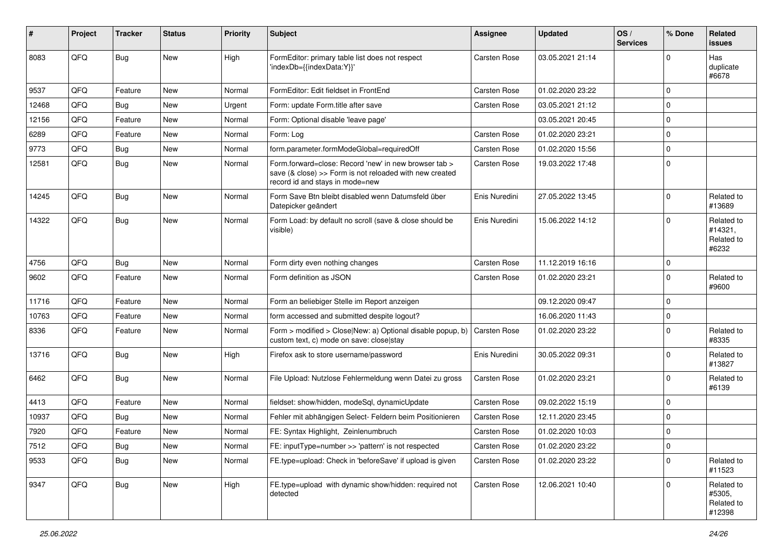| #     | Project | <b>Tracker</b> | <b>Status</b> | <b>Priority</b> | Subject                                                                                                                                             | <b>Assignee</b>     | <b>Updated</b>   | OS/<br><b>Services</b> | % Done      | Related<br>issues                            |
|-------|---------|----------------|---------------|-----------------|-----------------------------------------------------------------------------------------------------------------------------------------------------|---------------------|------------------|------------------------|-------------|----------------------------------------------|
| 8083  | QFQ     | Bug            | <b>New</b>    | High            | FormEditor: primary table list does not respect<br>'indexDb={{indexData:Y}}'                                                                        | <b>Carsten Rose</b> | 03.05.2021 21:14 |                        | $\Omega$    | Has<br>duplicate<br>#6678                    |
| 9537  | QFQ     | Feature        | <b>New</b>    | Normal          | FormEditor: Edit fieldset in FrontEnd                                                                                                               | <b>Carsten Rose</b> | 01.02.2020 23:22 |                        | $\mathbf 0$ |                                              |
| 12468 | QFQ     | Bug            | <b>New</b>    | Urgent          | Form: update Form.title after save                                                                                                                  | Carsten Rose        | 03.05.2021 21:12 |                        | $\mathbf 0$ |                                              |
| 12156 | QFQ     | Feature        | <b>New</b>    | Normal          | Form: Optional disable 'leave page'                                                                                                                 |                     | 03.05.2021 20:45 |                        | $\mathbf 0$ |                                              |
| 6289  | QFQ     | Feature        | <b>New</b>    | Normal          | Form: Log                                                                                                                                           | <b>Carsten Rose</b> | 01.02.2020 23:21 |                        | $\mathbf 0$ |                                              |
| 9773  | QFQ     | <b>Bug</b>     | <b>New</b>    | Normal          | form.parameter.formModeGlobal=requiredOff                                                                                                           | <b>Carsten Rose</b> | 01.02.2020 15:56 |                        | $\mathbf 0$ |                                              |
| 12581 | QFQ     | <b>Bug</b>     | New           | Normal          | Form.forward=close: Record 'new' in new browser tab ><br>save (& close) >> Form is not reloaded with new created<br>record id and stays in mode=new | Carsten Rose        | 19.03.2022 17:48 |                        | $\mathbf 0$ |                                              |
| 14245 | QFQ     | <b>Bug</b>     | <b>New</b>    | Normal          | Form Save Btn bleibt disabled wenn Datumsfeld über<br>Datepicker geändert                                                                           | Enis Nuredini       | 27.05.2022 13:45 |                        | $\mathbf 0$ | Related to<br>#13689                         |
| 14322 | QFQ     | Bug            | <b>New</b>    | Normal          | Form Load: by default no scroll (save & close should be<br>visible)                                                                                 | Enis Nuredini       | 15.06.2022 14:12 |                        | $\Omega$    | Related to<br>#14321,<br>Related to<br>#6232 |
| 4756  | QFQ     | Bug            | <b>New</b>    | Normal          | Form dirty even nothing changes                                                                                                                     | <b>Carsten Rose</b> | 11.12.2019 16:16 |                        | $\mathbf 0$ |                                              |
| 9602  | QFQ     | Feature        | <b>New</b>    | Normal          | Form definition as JSON                                                                                                                             | Carsten Rose        | 01.02.2020 23:21 |                        | $\Omega$    | Related to<br>#9600                          |
| 11716 | QFQ     | Feature        | <b>New</b>    | Normal          | Form an beliebiger Stelle im Report anzeigen                                                                                                        |                     | 09.12.2020 09:47 |                        | $\mathbf 0$ |                                              |
| 10763 | QFQ     | Feature        | <b>New</b>    | Normal          | form accessed and submitted despite logout?                                                                                                         |                     | 16.06.2020 11:43 |                        | $\Omega$    |                                              |
| 8336  | QFQ     | Feature        | New           | Normal          | Form > modified > Close New: a) Optional disable popup, b)<br>custom text, c) mode on save: close stay                                              | <b>Carsten Rose</b> | 01.02.2020 23:22 |                        | $\Omega$    | Related to<br>#8335                          |
| 13716 | QFQ     | Bug            | <b>New</b>    | High            | Firefox ask to store username/password                                                                                                              | Enis Nuredini       | 30.05.2022 09:31 |                        | $\Omega$    | Related to<br>#13827                         |
| 6462  | QFQ     | <b>Bug</b>     | <b>New</b>    | Normal          | File Upload: Nutzlose Fehlermeldung wenn Datei zu gross                                                                                             | Carsten Rose        | 01.02.2020 23:21 |                        | $\Omega$    | Related to<br>#6139                          |
| 4413  | QFQ     | Feature        | <b>New</b>    | Normal          | fieldset: show/hidden, modeSql, dynamicUpdate                                                                                                       | <b>Carsten Rose</b> | 09.02.2022 15:19 |                        | $\mathbf 0$ |                                              |
| 10937 | QFQ     | <b>Bug</b>     | <b>New</b>    | Normal          | Fehler mit abhängigen Select- Feldern beim Positionieren                                                                                            | Carsten Rose        | 12.11.2020 23:45 |                        | $\Omega$    |                                              |
| 7920  | QFQ     | Feature        | New           | Normal          | FE: Syntax Highlight, Zeinlenumbruch                                                                                                                | <b>Carsten Rose</b> | 01.02.2020 10:03 |                        | $\mathbf 0$ |                                              |
| 7512  | QFQ     | Bug            | New           | Normal          | FE: inputType=number >> 'pattern' is not respected                                                                                                  | Carsten Rose        | 01.02.2020 23:22 |                        | 0           |                                              |
| 9533  | QFQ     | <b>Bug</b>     | <b>New</b>    | Normal          | FE.type=upload: Check in 'beforeSave' if upload is given                                                                                            | Carsten Rose        | 01.02.2020 23:22 |                        | $\mathbf 0$ | Related to<br>#11523                         |
| 9347  | QFQ     | <b>Bug</b>     | New           | High            | FE.type=upload with dynamic show/hidden: required not<br>detected                                                                                   | Carsten Rose        | 12.06.2021 10:40 |                        | $\mathbf 0$ | Related to<br>#5305,<br>Related to<br>#12398 |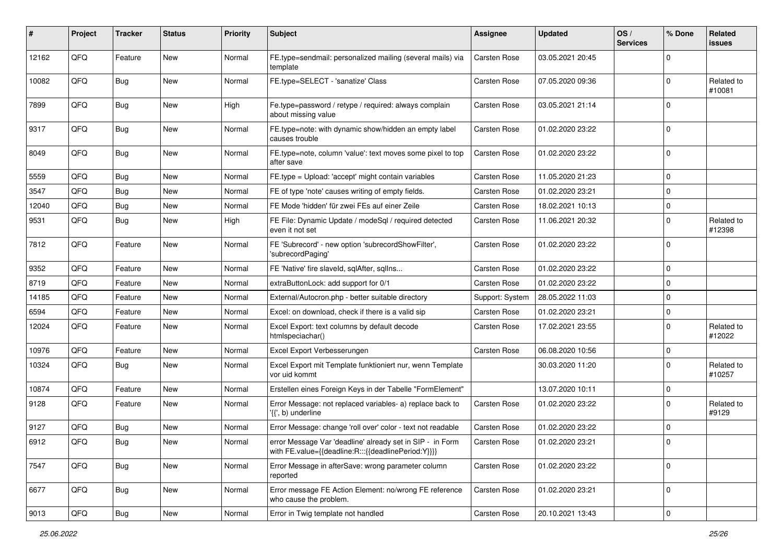| #     | Project | <b>Tracker</b> | <b>Status</b> | <b>Priority</b> | Subject                                                                                                          | <b>Assignee</b>     | <b>Updated</b>   | OS/<br><b>Services</b> | % Done      | Related<br><b>issues</b> |
|-------|---------|----------------|---------------|-----------------|------------------------------------------------------------------------------------------------------------------|---------------------|------------------|------------------------|-------------|--------------------------|
| 12162 | QFQ     | Feature        | <b>New</b>    | Normal          | FE.type=sendmail: personalized mailing (several mails) via<br>template                                           | <b>Carsten Rose</b> | 03.05.2021 20:45 |                        | $\Omega$    |                          |
| 10082 | QFQ     | Bug            | New           | Normal          | FE.type=SELECT - 'sanatize' Class                                                                                | Carsten Rose        | 07.05.2020 09:36 |                        | $\mathbf 0$ | Related to<br>#10081     |
| 7899  | QFQ     | <b>Bug</b>     | <b>New</b>    | High            | Fe.type=password / retype / required: always complain<br>about missing value                                     | Carsten Rose        | 03.05.2021 21:14 |                        | $\mathbf 0$ |                          |
| 9317  | QFQ     | Bug            | <b>New</b>    | Normal          | FE.type=note: with dynamic show/hidden an empty label<br>causes trouble                                          | Carsten Rose        | 01.02.2020 23:22 |                        | $\mathbf 0$ |                          |
| 8049  | QFQ     | Bug            | <b>New</b>    | Normal          | FE.type=note, column 'value': text moves some pixel to top<br>after save                                         | Carsten Rose        | 01.02.2020 23:22 |                        | $\mathbf 0$ |                          |
| 5559  | QFQ     | <b>Bug</b>     | <b>New</b>    | Normal          | FE.type = Upload: 'accept' might contain variables                                                               | Carsten Rose        | 11.05.2020 21:23 |                        | $\mathbf 0$ |                          |
| 3547  | QFQ     | Bug            | <b>New</b>    | Normal          | FE of type 'note' causes writing of empty fields.                                                                | Carsten Rose        | 01.02.2020 23:21 |                        | $\mathbf 0$ |                          |
| 12040 | QFQ     | Bug            | <b>New</b>    | Normal          | FE Mode 'hidden' für zwei FEs auf einer Zeile                                                                    | Carsten Rose        | 18.02.2021 10:13 |                        | $\mathbf 0$ |                          |
| 9531  | QFQ     | <b>Bug</b>     | New           | High            | FE File: Dynamic Update / modeSql / required detected<br>even it not set                                         | Carsten Rose        | 11.06.2021 20:32 |                        | $\mathbf 0$ | Related to<br>#12398     |
| 7812  | QFQ     | Feature        | <b>New</b>    | Normal          | FE 'Subrecord' - new option 'subrecordShowFilter',<br>'subrecordPaging'                                          | Carsten Rose        | 01.02.2020 23:22 |                        | $\mathbf 0$ |                          |
| 9352  | QFQ     | Feature        | <b>New</b>    | Normal          | FE 'Native' fire slaveld, sqlAfter, sqlIns                                                                       | Carsten Rose        | 01.02.2020 23:22 |                        | $\mathbf 0$ |                          |
| 8719  | QFQ     | Feature        | <b>New</b>    | Normal          | extraButtonLock: add support for 0/1                                                                             | Carsten Rose        | 01.02.2020 23:22 |                        | $\mathbf 0$ |                          |
| 14185 | QFQ     | Feature        | <b>New</b>    | Normal          | External/Autocron.php - better suitable directory                                                                | Support: System     | 28.05.2022 11:03 |                        | $\mathbf 0$ |                          |
| 6594  | QFQ     | Feature        | <b>New</b>    | Normal          | Excel: on download, check if there is a valid sip                                                                | Carsten Rose        | 01.02.2020 23:21 |                        | $\mathbf 0$ |                          |
| 12024 | QFQ     | Feature        | <b>New</b>    | Normal          | Excel Export: text columns by default decode<br>htmlspeciachar()                                                 | Carsten Rose        | 17.02.2021 23:55 |                        | $\mathbf 0$ | Related to<br>#12022     |
| 10976 | QFQ     | Feature        | <b>New</b>    | Normal          | Excel Export Verbesserungen                                                                                      | Carsten Rose        | 06.08.2020 10:56 |                        | $\mathbf 0$ |                          |
| 10324 | QFQ     | <b>Bug</b>     | New           | Normal          | Excel Export mit Template funktioniert nur, wenn Template<br>vor uid kommt                                       |                     | 30.03.2020 11:20 |                        | $\mathbf 0$ | Related to<br>#10257     |
| 10874 | QFQ     | Feature        | <b>New</b>    | Normal          | Erstellen eines Foreign Keys in der Tabelle "FormElement"                                                        |                     | 13.07.2020 10:11 |                        | $\mathbf 0$ |                          |
| 9128  | QFQ     | Feature        | <b>New</b>    | Normal          | Error Message: not replaced variables- a) replace back to<br>'{{', b) underline                                  | Carsten Rose        | 01.02.2020 23:22 |                        | $\mathbf 0$ | Related to<br>#9129      |
| 9127  | QFQ     | <b>Bug</b>     | New           | Normal          | Error Message: change 'roll over' color - text not readable                                                      | Carsten Rose        | 01.02.2020 23:22 |                        | $\mathbf 0$ |                          |
| 6912  | QFG     | Bug            | New           | Normal          | error Message Var 'deadline' already set in SIP - in Form<br>with FE.value={{deadline:R:::{{deadlinePeriod:Y}}}} | Carsten Rose        | 01.02.2020 23:21 |                        | $\Omega$    |                          |
| 7547  | QFQ     | Bug            | New           | Normal          | Error Message in afterSave: wrong parameter column<br>reported                                                   | Carsten Rose        | 01.02.2020 23:22 |                        | $\mathbf 0$ |                          |
| 6677  | QFQ     | Bug            | New           | Normal          | Error message FE Action Element: no/wrong FE reference<br>who cause the problem.                                 | Carsten Rose        | 01.02.2020 23:21 |                        | $\mathbf 0$ |                          |
| 9013  | QFQ     | <b>Bug</b>     | New           | Normal          | Error in Twig template not handled                                                                               | Carsten Rose        | 20.10.2021 13:43 |                        | 0           |                          |